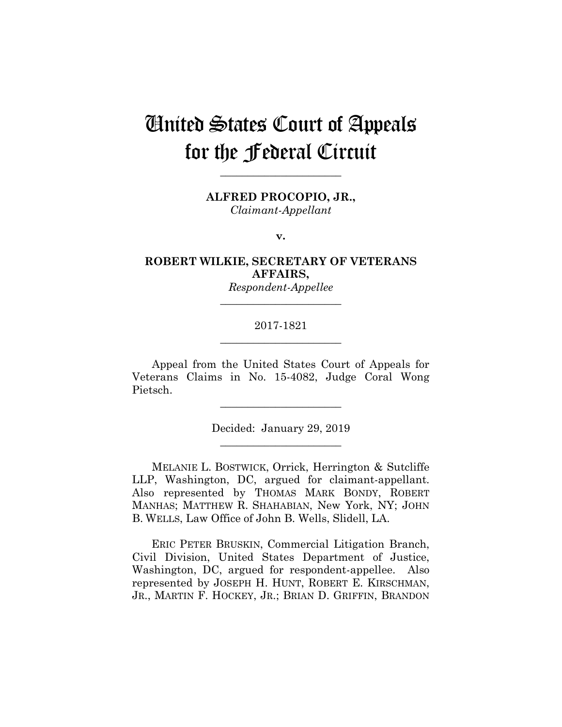# United States Court of Appeals for the Federal Circuit

**ALFRED PROCOPIO, JR.,**

**\_\_\_\_\_\_\_\_\_\_\_\_\_\_\_\_\_\_\_\_\_\_** 

*Claimant-Appellant*

**v.**

**ROBERT WILKIE, SECRETARY OF VETERANS AFFAIRS,**

> *Respondent-Appellee* **\_\_\_\_\_\_\_\_\_\_\_\_\_\_\_\_\_\_\_\_\_\_**

## 2017-1821 **\_\_\_\_\_\_\_\_\_\_\_\_\_\_\_\_\_\_\_\_\_\_**

Appeal from the United States Court of Appeals for Veterans Claims in No. 15-4082, Judge Coral Wong Pietsch.

> Decided: January 29, 2019 **\_\_\_\_\_\_\_\_\_\_\_\_\_\_\_\_\_\_\_\_\_\_**

**\_\_\_\_\_\_\_\_\_\_\_\_\_\_\_\_\_\_\_\_\_\_** 

MELANIE L. BOSTWICK, Orrick, Herrington & Sutcliffe LLP, Washington, DC, argued for claimant-appellant. Also represented by THOMAS MARK BONDY, ROBERT MANHAS; MATTHEW R. SHAHABIAN, New York, NY; JOHN B. WELLS, Law Office of John B. Wells, Slidell, LA.

 ERIC PETER BRUSKIN, Commercial Litigation Branch, Civil Division, United States Department of Justice, Washington, DC, argued for respondent-appellee. Also represented by JOSEPH H. HUNT, ROBERT E. KIRSCHMAN, JR., MARTIN F. HOCKEY, JR.; BRIAN D. GRIFFIN, BRANDON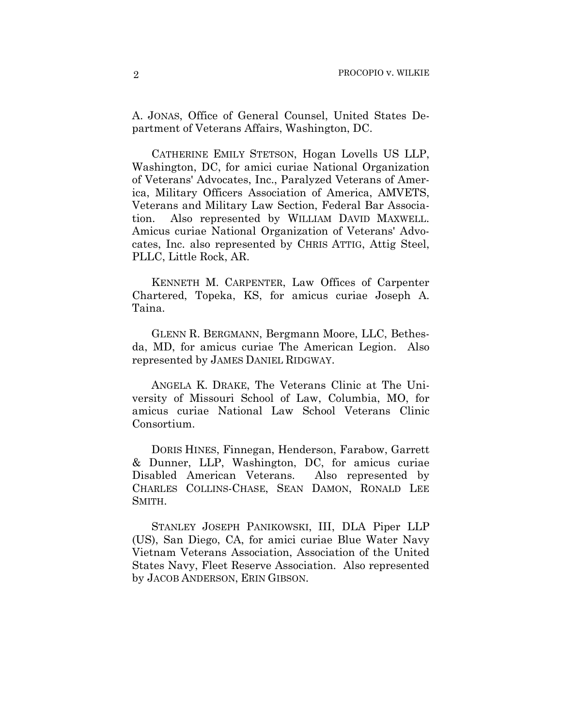A. JONAS, Office of General Counsel, United States Department of Veterans Affairs, Washington, DC.

 CATHERINE EMILY STETSON, Hogan Lovells US LLP, Washington, DC, for amici curiae National Organization of Veterans' Advocates, Inc., Paralyzed Veterans of America, Military Officers Association of America, AMVETS, Veterans and Military Law Section, Federal Bar Association. Also represented by WILLIAM DAVID MAXWELL. Amicus curiae National Organization of Veterans' Advocates, Inc. also represented by CHRIS ATTIG, Attig Steel, PLLC, Little Rock, AR.

 KENNETH M. CARPENTER, Law Offices of Carpenter Chartered, Topeka, KS, for amicus curiae Joseph A. Taina.

 GLENN R. BERGMANN, Bergmann Moore, LLC, Bethesda, MD, for amicus curiae The American Legion. Also represented by JAMES DANIEL RIDGWAY.

 ANGELA K. DRAKE, The Veterans Clinic at The University of Missouri School of Law, Columbia, MO, for amicus curiae National Law School Veterans Clinic Consortium.

 DORIS HINES, Finnegan, Henderson, Farabow, Garrett & Dunner, LLP, Washington, DC, for amicus curiae Disabled American Veterans. Also represented by CHARLES COLLINS-CHASE, SEAN DAMON, RONALD LEE SMITH.

 STANLEY JOSEPH PANIKOWSKI, III, DLA Piper LLP (US), San Diego, CA, for amici curiae Blue Water Navy Vietnam Veterans Association, Association of the United States Navy, Fleet Reserve Association. Also represented by JACOB ANDERSON, ERIN GIBSON.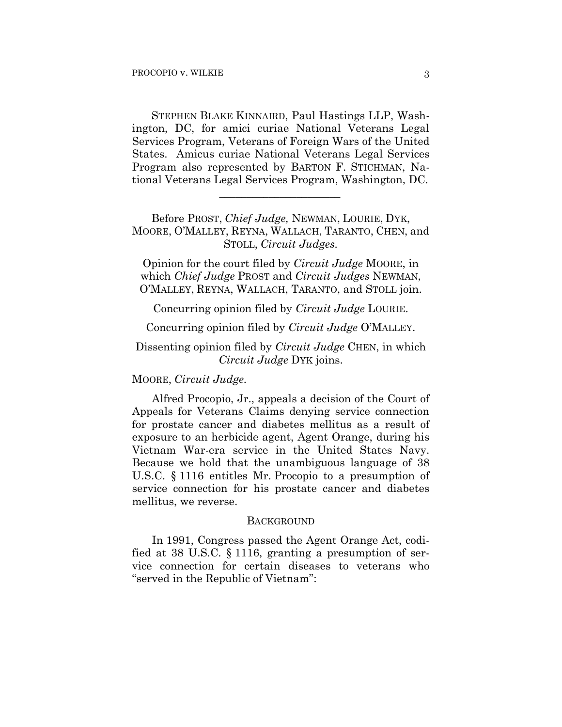STEPHEN BLAKE KINNAIRD, Paul Hastings LLP, Washington, DC, for amici curiae National Veterans Legal Services Program, Veterans of Foreign Wars of the United States. Amicus curiae National Veterans Legal Services Program also represented by BARTON F. STICHMAN, National Veterans Legal Services Program, Washington, DC.

Before PROST, *Chief Judge,* NEWMAN, LOURIE, DYK, MOORE, O'MALLEY, REYNA, WALLACH, TARANTO, CHEN, and STOLL, *Circuit Judges.*

 $\mathcal{L}_\text{max}$  and  $\mathcal{L}_\text{max}$  and  $\mathcal{L}_\text{max}$  and  $\mathcal{L}_\text{max}$ 

Opinion for the court filed by *Circuit Judge* MOORE, in which *Chief Judge* PROST and *Circuit Judges* NEWMAN, O'MALLEY, REYNA, WALLACH, TARANTO, and STOLL join.

Concurring opinion filed by *Circuit Judge* LOURIE.

Concurring opinion filed by *Circuit Judge* O'MALLEY.

## Dissenting opinion filed by *Circuit Judge* CHEN, in which *Circuit Judge* DYK joins.

#### MOORE, *Circuit Judge.*

Alfred Procopio, Jr., appeals a decision of the Court of Appeals for Veterans Claims denying service connection for prostate cancer and diabetes mellitus as a result of exposure to an herbicide agent, Agent Orange, during his Vietnam War-era service in the United States Navy. Because we hold that the unambiguous language of 38 U.S.C. § 1116 entitles Mr. Procopio to a presumption of service connection for his prostate cancer and diabetes mellitus, we reverse.

#### BACKGROUND

In 1991, Congress passed the Agent Orange Act, codified at 38 U.S.C. § 1116, granting a presumption of service connection for certain diseases to veterans who "served in the Republic of Vietnam":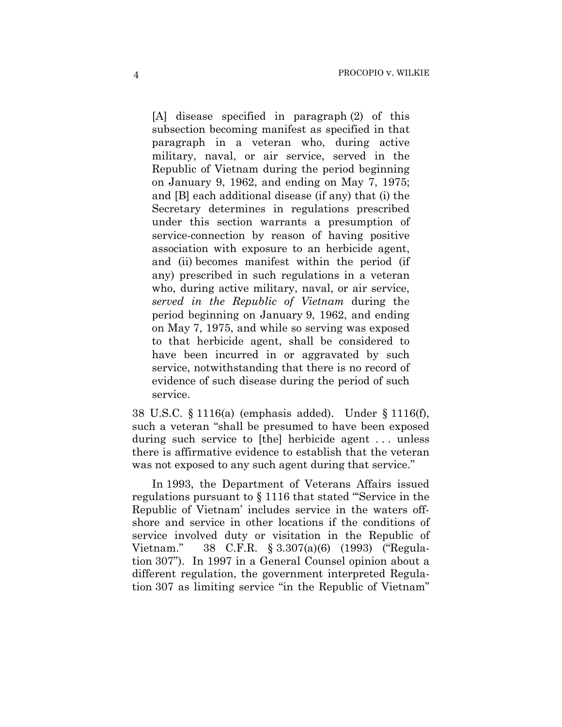[A] disease specified in paragraph (2) of this subsection becoming manifest as specified in that paragraph in a veteran who, during active military, naval, or air service, served in the Republic of Vietnam during the period beginning on January 9, 1962, and ending on May 7, 1975; and [B] each additional disease (if any) that (i) the Secretary determines in regulations prescribed under this section warrants a presumption of service-connection by reason of having positive association with exposure to an herbicide agent, and (ii) becomes manifest within the period (if any) prescribed in such regulations in a veteran who, during active military, naval, or air service, *served in the Republic of Vietnam* during the period beginning on January 9, 1962, and ending on May 7, 1975, and while so serving was exposed to that herbicide agent, shall be considered to have been incurred in or aggravated by such service, notwithstanding that there is no record of evidence of such disease during the period of such service.

38 U.S.C. § 1116(a) (emphasis added). Under § 1116(f), such a veteran "shall be presumed to have been exposed during such service to [the] herbicide agent ... unless there is affirmative evidence to establish that the veteran was not exposed to any such agent during that service."

In 1993, the Department of Veterans Affairs issued regulations pursuant to § 1116 that stated "'Service in the Republic of Vietnam' includes service in the waters offshore and service in other locations if the conditions of service involved duty or visitation in the Republic of Vietnam." 38 C.F.R. § 3.307(a)(6) (1993) ("Regulation 307"). In 1997 in a General Counsel opinion about a different regulation, the government interpreted Regulation 307 as limiting service "in the Republic of Vietnam"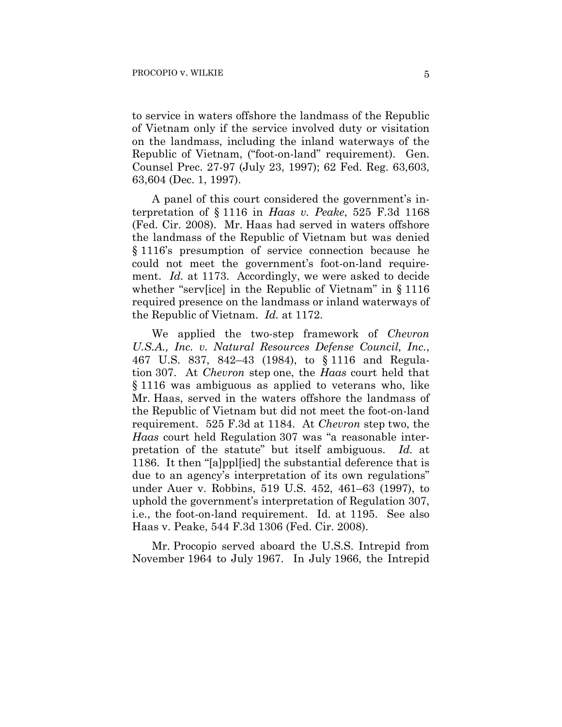to service in waters offshore the landmass of the Republic of Vietnam only if the service involved duty or visitation on the landmass, including the inland waterways of the Republic of Vietnam, ("foot-on-land" requirement). Gen. Counsel Prec. 27-97 (July 23, 1997); 62 Fed. Reg. 63,603, 63,604 (Dec. 1, 1997).

A panel of this court considered the government's interpretation of § 1116 in *Haas v. Peake*, 525 F.3d 1168 (Fed. Cir. 2008). Mr. Haas had served in waters offshore the landmass of the Republic of Vietnam but was denied § 1116's presumption of service connection because he could not meet the government's foot-on-land requirement. *Id.* at 1173. Accordingly, we were asked to decide whether "serv[ice] in the Republic of Vietnam" in § 1116 required presence on the landmass or inland waterways of the Republic of Vietnam. *Id.* at 1172.

We applied the two-step framework of *Chevron U.S.A., Inc. v. Natural Resources Defense Council, Inc.*, 467 U.S. 837, 842–43 (1984), to § 1116 and Regulation 307. At *Chevron* step one, the *Haas* court held that § 1116 was ambiguous as applied to veterans who, like Mr. Haas, served in the waters offshore the landmass of the Republic of Vietnam but did not meet the foot-on-land requirement. 525 F.3d at 1184. At *Chevron* step two, the *Haas* court held Regulation 307 was "a reasonable interpretation of the statute" but itself ambiguous. *Id.* at 1186. It then "[a]ppl[ied] the substantial deference that is due to an agency's interpretation of its own regulations" under Auer v. Robbins, 519 U.S. 452, 461–63 (1997), to uphold the government's interpretation of Regulation 307, i.e., the foot-on-land requirement. Id. at 1195. See also Haas v. Peake, 544 F.3d 1306 (Fed. Cir. 2008).

Mr. Procopio served aboard the U.S.S. Intrepid from November 1964 to July 1967. In July 1966, the Intrepid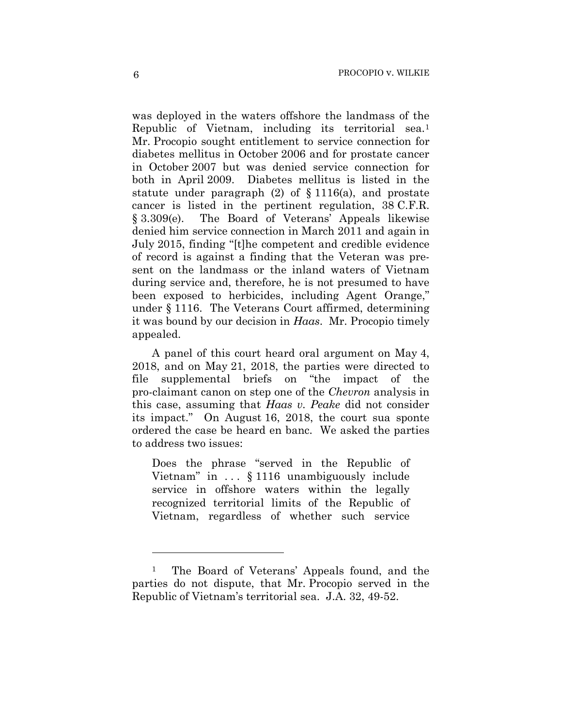was deployed in the waters offshore the landmass of the Republic of Vietnam, including its territorial sea.1 Mr. Procopio sought entitlement to service connection for diabetes mellitus in October 2006 and for prostate cancer in October 2007 but was denied service connection for both in April 2009. Diabetes mellitus is listed in the statute under paragraph  $(2)$  of  $\S 1116(a)$ , and prostate cancer is listed in the pertinent regulation, 38 C.F.R. § 3.309(e). The Board of Veterans' Appeals likewise denied him service connection in March 2011 and again in July 2015, finding "[t]he competent and credible evidence of record is against a finding that the Veteran was present on the landmass or the inland waters of Vietnam during service and, therefore, he is not presumed to have been exposed to herbicides, including Agent Orange," under § 1116. The Veterans Court affirmed, determining it was bound by our decision in *Haas*. Mr. Procopio timely appealed.

A panel of this court heard oral argument on May 4, 2018, and on May 21, 2018, the parties were directed to file supplemental briefs on "the impact of the pro-claimant canon on step one of the *Chevron* analysis in this case, assuming that *Haas v. Peake* did not consider its impact." On August 16, 2018, the court sua sponte ordered the case be heard en banc. We asked the parties to address two issues:

Does the phrase "served in the Republic of Vietnam" in . . . § 1116 unambiguously include service in offshore waters within the legally recognized territorial limits of the Republic of Vietnam, regardless of whether such service

1

<sup>1</sup> The Board of Veterans' Appeals found, and the parties do not dispute, that Mr. Procopio served in the Republic of Vietnam's territorial sea. J.A. 32, 49-52.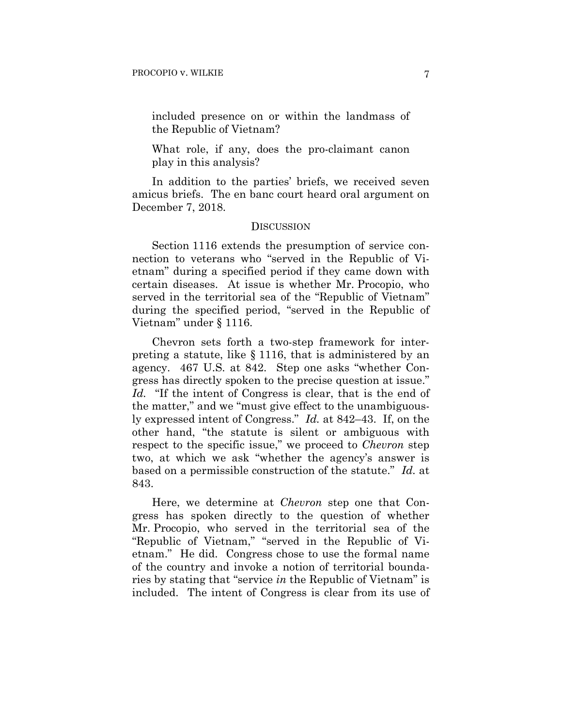included presence on or within the landmass of the Republic of Vietnam?

What role, if any, does the pro-claimant canon play in this analysis?

In addition to the parties' briefs, we received seven amicus briefs. The en banc court heard oral argument on December 7, 2018.

#### **DISCUSSION**

Section 1116 extends the presumption of service connection to veterans who "served in the Republic of Vietnam" during a specified period if they came down with certain diseases. At issue is whether Mr. Procopio, who served in the territorial sea of the "Republic of Vietnam" during the specified period, "served in the Republic of Vietnam" under § 1116.

Chevron sets forth a two-step framework for interpreting a statute, like § 1116, that is administered by an agency. 467 U.S. at 842. Step one asks "whether Congress has directly spoken to the precise question at issue." *Id.* "If the intent of Congress is clear, that is the end of the matter," and we "must give effect to the unambiguously expressed intent of Congress." *Id.* at 842–43. If, on the other hand, "the statute is silent or ambiguous with respect to the specific issue," we proceed to *Chevron* step two, at which we ask "whether the agency's answer is based on a permissible construction of the statute." *Id.* at 843.

Here, we determine at *Chevron* step one that Congress has spoken directly to the question of whether Mr. Procopio, who served in the territorial sea of the "Republic of Vietnam," "served in the Republic of Vietnam." He did. Congress chose to use the formal name of the country and invoke a notion of territorial boundaries by stating that "service *in* the Republic of Vietnam" is included. The intent of Congress is clear from its use of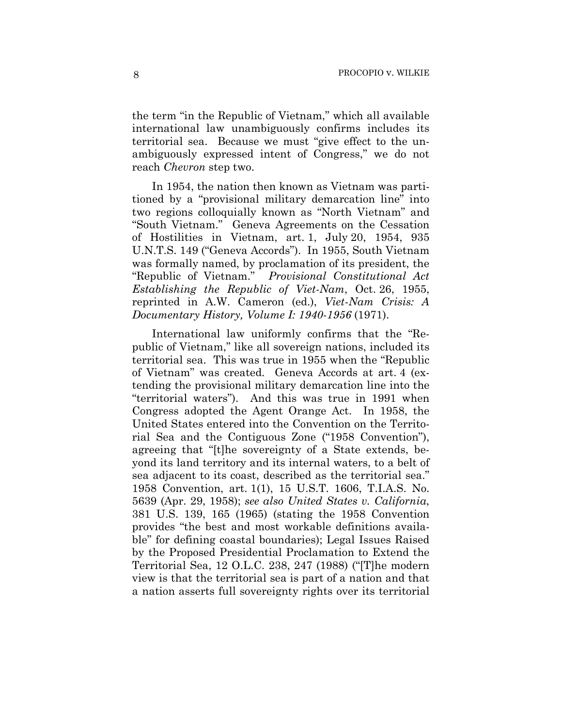the term "in the Republic of Vietnam," which all available international law unambiguously confirms includes its territorial sea. Because we must "give effect to the unambiguously expressed intent of Congress," we do not reach *Chevron* step two.

In 1954, the nation then known as Vietnam was partitioned by a "provisional military demarcation line" into two regions colloquially known as "North Vietnam" and "South Vietnam." Geneva Agreements on the Cessation of Hostilities in Vietnam, art. 1, July 20, 1954, 935 U.N.T.S. 149 ("Geneva Accords"). In 1955, South Vietnam was formally named, by proclamation of its president, the "Republic of Vietnam." *Provisional Constitutional Act Establishing the Republic of Viet-Nam*, Oct. 26, 1955, reprinted in A.W. Cameron (ed.), *Viet-Nam Crisis: A Documentary History, Volume I: 1940-1956* (1971).

International law uniformly confirms that the "Republic of Vietnam," like all sovereign nations, included its territorial sea. This was true in 1955 when the "Republic of Vietnam" was created. Geneva Accords at art. 4 (extending the provisional military demarcation line into the "territorial waters"). And this was true in 1991 when Congress adopted the Agent Orange Act. In 1958, the United States entered into the Convention on the Territorial Sea and the Contiguous Zone ("1958 Convention"), agreeing that "[t]he sovereignty of a State extends, beyond its land territory and its internal waters, to a belt of sea adjacent to its coast, described as the territorial sea." 1958 Convention, art. 1(1), 15 U.S.T. 1606, T.I.A.S. No. 5639 (Apr. 29, 1958); *see also United States v. California*, 381 U.S. 139, 165 (1965) (stating the 1958 Convention provides "the best and most workable definitions available" for defining coastal boundaries); Legal Issues Raised by the Proposed Presidential Proclamation to Extend the Territorial Sea, 12 O.L.C. 238, 247 (1988) ("[T]he modern view is that the territorial sea is part of a nation and that a nation asserts full sovereignty rights over its territorial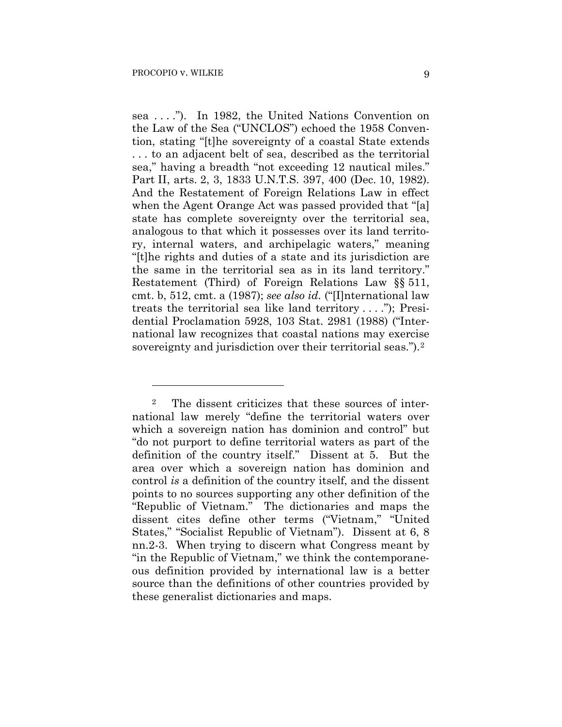<u>.</u>

sea . . . ."). In 1982, the United Nations Convention on the Law of the Sea ("UNCLOS") echoed the 1958 Convention, stating "[t]he sovereignty of a coastal State extends . . . to an adjacent belt of sea, described as the territorial sea," having a breadth "not exceeding 12 nautical miles." Part II, arts. 2, 3, 1833 U.N.T.S. 397, 400 (Dec. 10, 1982). And the Restatement of Foreign Relations Law in effect when the Agent Orange Act was passed provided that "[a] state has complete sovereignty over the territorial sea, analogous to that which it possesses over its land territory, internal waters, and archipelagic waters," meaning "[t]he rights and duties of a state and its jurisdiction are the same in the territorial sea as in its land territory." Restatement (Third) of Foreign Relations Law §§ 511, cmt. b, 512, cmt. a (1987); *see also id.* ("[I]nternational law treats the territorial sea like land territory . . . ."); Presidential Proclamation 5928, 103 Stat. 2981 (1988) ("International law recognizes that coastal nations may exercise sovereignty and jurisdiction over their territorial seas.").<sup>2</sup>

<sup>2</sup> The dissent criticizes that these sources of international law merely "define the territorial waters over which a sovereign nation has dominion and control" but "do not purport to define territorial waters as part of the definition of the country itself." Dissent at 5. But the area over which a sovereign nation has dominion and control *is* a definition of the country itself, and the dissent points to no sources supporting any other definition of the "Republic of Vietnam." The dictionaries and maps the dissent cites define other terms ("Vietnam," "United States," "Socialist Republic of Vietnam"). Dissent at 6, 8 nn.2-3. When trying to discern what Congress meant by "in the Republic of Vietnam," we think the contemporaneous definition provided by international law is a better source than the definitions of other countries provided by these generalist dictionaries and maps.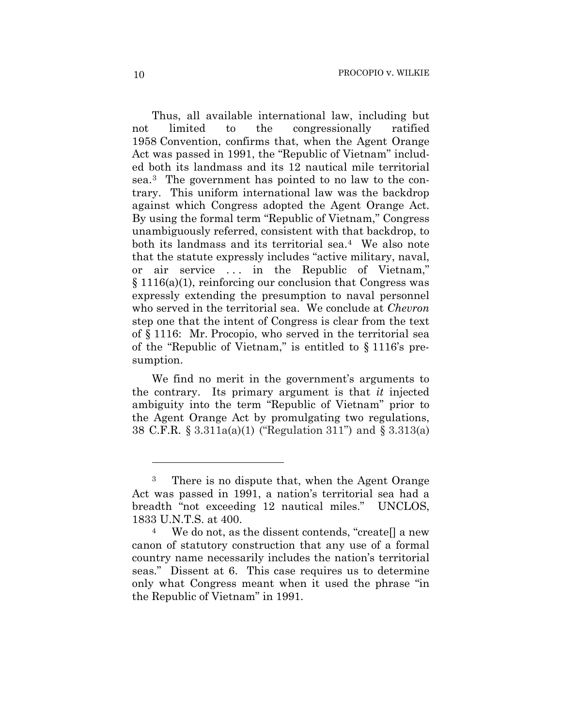Thus, all available international law, including but not limited to the congressionally ratified 1958 Convention, confirms that, when the Agent Orange Act was passed in 1991, the "Republic of Vietnam" included both its landmass and its 12 nautical mile territorial sea.3 The government has pointed to no law to the contrary. This uniform international law was the backdrop against which Congress adopted the Agent Orange Act. By using the formal term "Republic of Vietnam," Congress unambiguously referred, consistent with that backdrop, to both its landmass and its territorial sea.4 We also note that the statute expressly includes "active military, naval, or air service . . . in the Republic of Vietnam," § 1116(a)(1), reinforcing our conclusion that Congress was expressly extending the presumption to naval personnel who served in the territorial sea. We conclude at *Chevron*  step one that the intent of Congress is clear from the text of § 1116: Mr. Procopio, who served in the territorial sea of the "Republic of Vietnam," is entitled to § 1116's presumption.

We find no merit in the government's arguments to the contrary. Its primary argument is that *it* injected ambiguity into the term "Republic of Vietnam" prior to the Agent Orange Act by promulgating two regulations, 38 C.F.R. § 3.311a(a)(1) ("Regulation 311") and § 3.313(a)

<u>.</u>

There is no dispute that, when the Agent Orange Act was passed in 1991, a nation's territorial sea had a breadth "not exceeding 12 nautical miles." UNCLOS, 1833 U.N.T.S. at 400.

We do not, as the dissent contends, "createll a new canon of statutory construction that any use of a formal country name necessarily includes the nation's territorial seas." Dissent at 6. This case requires us to determine only what Congress meant when it used the phrase "in the Republic of Vietnam" in 1991.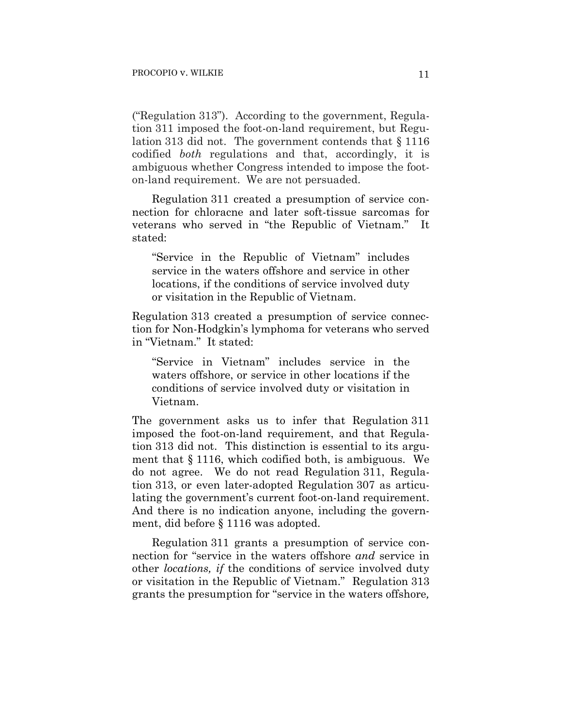("Regulation 313"). According to the government, Regulation 311 imposed the foot-on-land requirement, but Regulation 313 did not. The government contends that § 1116 codified *both* regulations and that, accordingly, it is ambiguous whether Congress intended to impose the footon-land requirement. We are not persuaded.

Regulation 311 created a presumption of service connection for chloracne and later soft-tissue sarcomas for veterans who served in "the Republic of Vietnam." It stated:

"Service in the Republic of Vietnam" includes service in the waters offshore and service in other locations, if the conditions of service involved duty or visitation in the Republic of Vietnam.

Regulation 313 created a presumption of service connection for Non-Hodgkin's lymphoma for veterans who served in "Vietnam." It stated:

"Service in Vietnam" includes service in the waters offshore, or service in other locations if the conditions of service involved duty or visitation in Vietnam.

The government asks us to infer that Regulation 311 imposed the foot-on-land requirement, and that Regulation 313 did not. This distinction is essential to its argument that § 1116, which codified both, is ambiguous. We do not agree. We do not read Regulation 311, Regulation 313, or even later-adopted Regulation 307 as articulating the government's current foot-on-land requirement. And there is no indication anyone, including the government, did before § 1116 was adopted.

Regulation 311 grants a presumption of service connection for "service in the waters offshore *and* service in other *locations, if* the conditions of service involved duty or visitation in the Republic of Vietnam." Regulation 313 grants the presumption for "service in the waters offshore*,*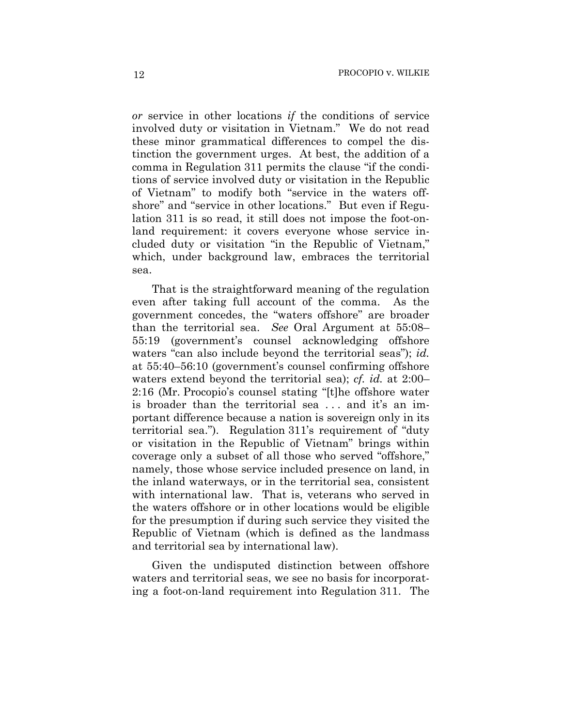*or* service in other locations *if* the conditions of service involved duty or visitation in Vietnam." We do not read these minor grammatical differences to compel the distinction the government urges. At best, the addition of a comma in Regulation 311 permits the clause "if the conditions of service involved duty or visitation in the Republic of Vietnam" to modify both "service in the waters offshore" and "service in other locations." But even if Regulation 311 is so read, it still does not impose the foot-onland requirement: it covers everyone whose service included duty or visitation "in the Republic of Vietnam," which, under background law, embraces the territorial sea.

That is the straightforward meaning of the regulation even after taking full account of the comma. As the government concedes, the "waters offshore" are broader than the territorial sea. *See* Oral Argument at 55:08– 55:19 (government's counsel acknowledging offshore waters "can also include beyond the territorial seas"); *id.* at 55:40–56:10 (government's counsel confirming offshore waters extend beyond the territorial sea); *cf. id.* at 2:00– 2:16 (Mr. Procopio's counsel stating "[t]he offshore water is broader than the territorial sea . . . and it's an important difference because a nation is sovereign only in its territorial sea."). Regulation 311's requirement of "duty or visitation in the Republic of Vietnam" brings within coverage only a subset of all those who served "offshore," namely, those whose service included presence on land, in the inland waterways, or in the territorial sea, consistent with international law. That is, veterans who served in the waters offshore or in other locations would be eligible for the presumption if during such service they visited the Republic of Vietnam (which is defined as the landmass and territorial sea by international law).

Given the undisputed distinction between offshore waters and territorial seas, we see no basis for incorporating a foot-on-land requirement into Regulation 311. The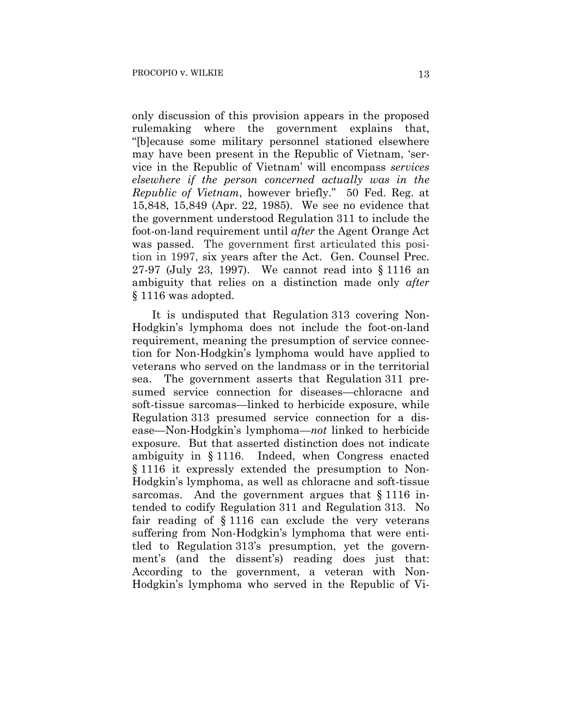only discussion of this provision appears in the proposed rulemaking where the government explains that, "[b]ecause some military personnel stationed elsewhere may have been present in the Republic of Vietnam, 'service in the Republic of Vietnam' will encompass *services elsewhere if the person concerned actually was in the Republic of Vietnam*, however briefly." 50 Fed. Reg. at 15,848, 15,849 (Apr. 22, 1985). We see no evidence that the government understood Regulation 311 to include the foot-on-land requirement until *after* the Agent Orange Act was passed. The government first articulated this position in 1997, six years after the Act. Gen. Counsel Prec. 27-97 (July 23, 1997). We cannot read into § 1116 an ambiguity that relies on a distinction made only *after* § 1116 was adopted.

It is undisputed that Regulation 313 covering Non-Hodgkin's lymphoma does not include the foot-on-land requirement, meaning the presumption of service connection for Non-Hodgkin's lymphoma would have applied to veterans who served on the landmass or in the territorial sea. The government asserts that Regulation 311 presumed service connection for diseases—chloracne and soft-tissue sarcomas—linked to herbicide exposure, while Regulation 313 presumed service connection for a disease—Non-Hodgkin's lymphoma—*not* linked to herbicide exposure. But that asserted distinction does not indicate ambiguity in § 1116. Indeed, when Congress enacted § 1116 it expressly extended the presumption to Non-Hodgkin's lymphoma, as well as chloracne and soft-tissue sarcomas. And the government argues that § 1116 intended to codify Regulation 311 and Regulation 313. No fair reading of § 1116 can exclude the very veterans suffering from Non-Hodgkin's lymphoma that were entitled to Regulation 313's presumption, yet the government's (and the dissent's) reading does just that: According to the government, a veteran with Non-Hodgkin's lymphoma who served in the Republic of Vi-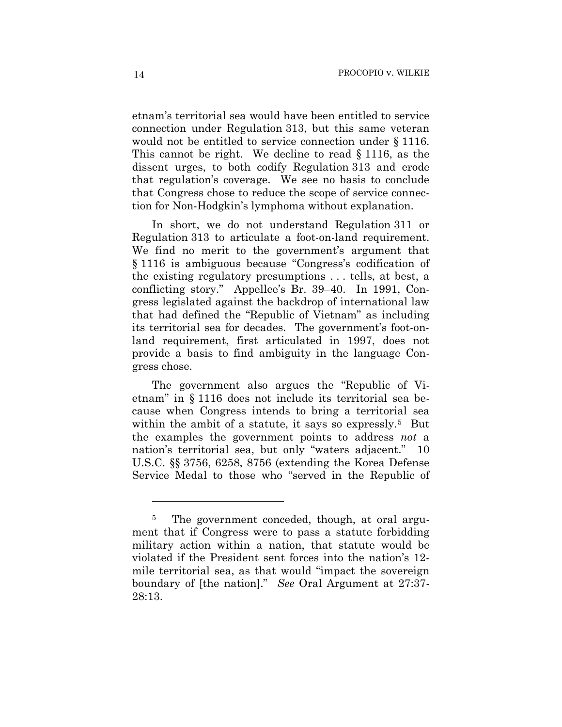etnam's territorial sea would have been entitled to service connection under Regulation 313, but this same veteran would not be entitled to service connection under § 1116. This cannot be right. We decline to read § 1116, as the dissent urges, to both codify Regulation 313 and erode that regulation's coverage. We see no basis to conclude that Congress chose to reduce the scope of service connection for Non-Hodgkin's lymphoma without explanation.

In short, we do not understand Regulation 311 or Regulation 313 to articulate a foot-on-land requirement. We find no merit to the government's argument that § 1116 is ambiguous because "Congress's codification of the existing regulatory presumptions . . . tells, at best, a conflicting story." Appellee's Br. 39–40. In 1991, Congress legislated against the backdrop of international law that had defined the "Republic of Vietnam" as including its territorial sea for decades. The government's foot-onland requirement, first articulated in 1997, does not provide a basis to find ambiguity in the language Congress chose.

The government also argues the "Republic of Vietnam" in § 1116 does not include its territorial sea because when Congress intends to bring a territorial sea within the ambit of a statute, it says so expressly.<sup>5</sup> But the examples the government points to address *not* a nation's territorial sea, but only "waters adjacent." 10 U.S.C. §§ 3756, 6258, 8756 (extending the Korea Defense Service Medal to those who "served in the Republic of

<u>.</u>

<sup>&</sup>lt;sup>5</sup> The government conceded, though, at oral argument that if Congress were to pass a statute forbidding military action within a nation, that statute would be violated if the President sent forces into the nation's 12 mile territorial sea, as that would "impact the sovereign boundary of [the nation]." *See* Oral Argument at 27:37- 28:13.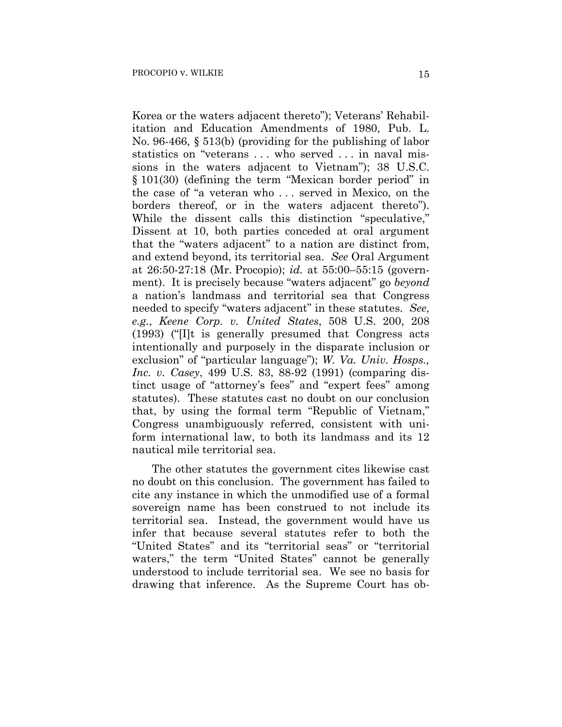Korea or the waters adjacent thereto"); Veterans' Rehabilitation and Education Amendments of 1980, Pub. L. No. 96-466, § 513(b) (providing for the publishing of labor statistics on "veterans . . . who served . . . in naval missions in the waters adjacent to Vietnam"); 38 U.S.C. § 101(30) (defining the term "Mexican border period" in the case of "a veteran who . . . served in Mexico, on the borders thereof, or in the waters adjacent thereto"). While the dissent calls this distinction "speculative," Dissent at 10, both parties conceded at oral argument that the "waters adjacent" to a nation are distinct from, and extend beyond, its territorial sea. *See* Oral Argument at 26:50-27:18 (Mr. Procopio); *id.* at 55:00–55:15 (government). It is precisely because "waters adjacent" go *beyond* a nation's landmass and territorial sea that Congress needed to specify "waters adjacent" in these statutes. *See*, *e.g.*, *Keene Corp. v. United States*, 508 U.S. 200, 208 (1993) ("[I]t is generally presumed that Congress acts intentionally and purposely in the disparate inclusion or exclusion" of "particular language"); *W. Va. Univ. Hosps., Inc. v. Casey*, 499 U.S. 83, 88-92 (1991) (comparing distinct usage of "attorney's fees" and "expert fees" among statutes). These statutes cast no doubt on our conclusion that, by using the formal term "Republic of Vietnam," Congress unambiguously referred, consistent with uniform international law, to both its landmass and its 12 nautical mile territorial sea.

The other statutes the government cites likewise cast no doubt on this conclusion. The government has failed to cite any instance in which the unmodified use of a formal sovereign name has been construed to not include its territorial sea. Instead, the government would have us infer that because several statutes refer to both the "United States" and its "territorial seas" or "territorial waters," the term "United States" cannot be generally understood to include territorial sea. We see no basis for drawing that inference. As the Supreme Court has ob-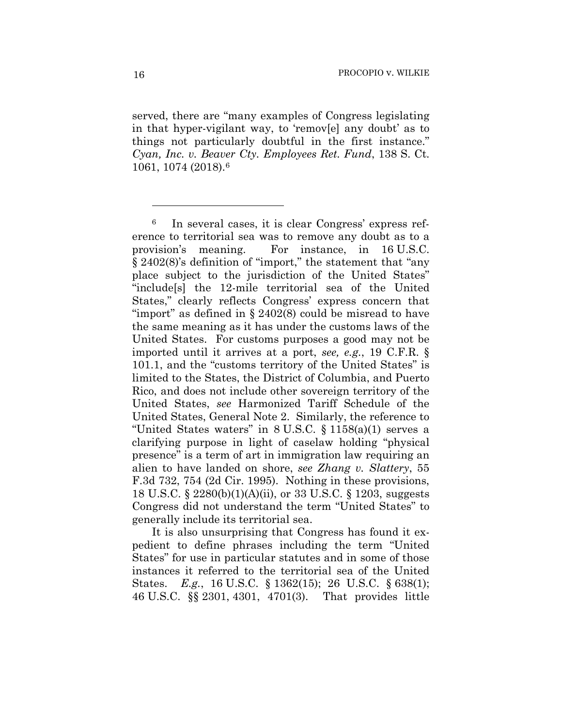served, there are "many examples of Congress legislating in that hyper-vigilant way, to 'remov[e] any doubt' as to things not particularly doubtful in the first instance." *Cyan, Inc. v. Beaver Cty. Employees Ret. Fund*, 138 S. Ct. 1061, 1074 (2018).6

It is also unsurprising that Congress has found it expedient to define phrases including the term "United States" for use in particular statutes and in some of those instances it referred to the territorial sea of the United States. *E.g.*, 16 U.S.C. § 1362(15); 26 U.S.C. § 638(1); 46 U.S.C. §§ 2301, 4301, 4701(3). That provides little

1

<sup>6</sup> In several cases, it is clear Congress' express reference to territorial sea was to remove any doubt as to a provision's meaning. For instance, in 16 U.S.C. § 2402(8)'s definition of "import," the statement that "any place subject to the jurisdiction of the United States" "include[s] the 12-mile territorial sea of the United States," clearly reflects Congress' express concern that "import" as defined in § 2402(8) could be misread to have the same meaning as it has under the customs laws of the United States. For customs purposes a good may not be imported until it arrives at a port, *see, e.g.*, 19 C.F.R. § 101.1, and the "customs territory of the United States" is limited to the States, the District of Columbia, and Puerto Rico, and does not include other sovereign territory of the United States, *see* Harmonized Tariff Schedule of the United States, General Note 2. Similarly, the reference to "United States waters" in 8 U.S.C. § 1158(a)(1) serves a clarifying purpose in light of caselaw holding "physical presence" is a term of art in immigration law requiring an alien to have landed on shore, *see Zhang v. Slattery*, 55 F.3d 732, 754 (2d Cir. 1995). Nothing in these provisions, 18 U.S.C. § 2280(b)(1)(A)(ii), or 33 U.S.C. § 1203, suggests Congress did not understand the term "United States" to generally include its territorial sea.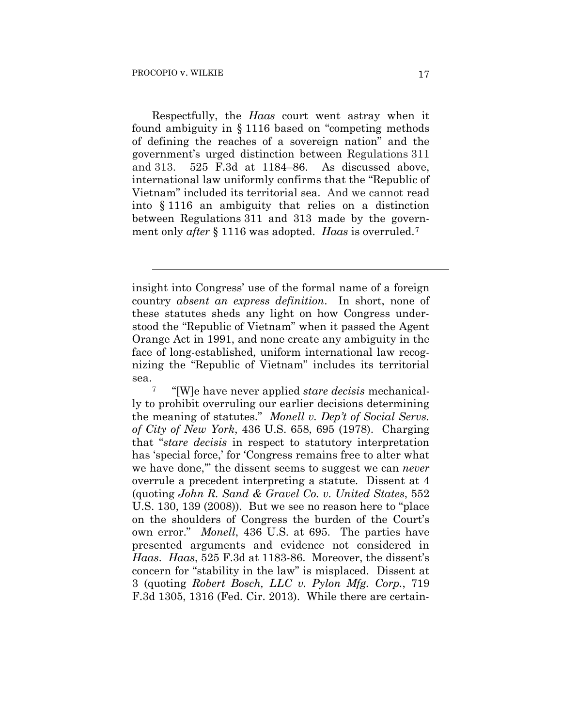$\overline{a}$ 

Respectfully, the *Haas* court went astray when it found ambiguity in § 1116 based on "competing methods of defining the reaches of a sovereign nation" and the government's urged distinction between Regulations 311 and 313. 525 F.3d at 1184–86. As discussed above, international law uniformly confirms that the "Republic of Vietnam" included its territorial sea. And we cannot read into § 1116 an ambiguity that relies on a distinction between Regulations 311 and 313 made by the government only *after* § 1116 was adopted. *Haas* is overruled.7

insight into Congress' use of the formal name of a foreign country *absent an express definition*. In short, none of these statutes sheds any light on how Congress understood the "Republic of Vietnam" when it passed the Agent Orange Act in 1991, and none create any ambiguity in the face of long-established, uniform international law recognizing the "Republic of Vietnam" includes its territorial sea.

<sup>7 &</sup>quot;[W]e have never applied *stare decisis* mechanically to prohibit overruling our earlier decisions determining the meaning of statutes." *Monell v. Dep't of Social Servs. of City of New York*, 436 U.S. 658, 695 (1978). Charging that "*stare decisis* in respect to statutory interpretation has 'special force,' for 'Congress remains free to alter what we have done,'" the dissent seems to suggest we can *never*  overrule a precedent interpreting a statute. Dissent at 4 (quoting *John R. Sand & Gravel Co. v. United States*, 552 U.S. 130, 139 (2008)). But we see no reason here to "place on the shoulders of Congress the burden of the Court's own error." *Monell*, 436 U.S. at 695. The parties have presented arguments and evidence not considered in *Haas*. *Haas*, 525 F.3d at 1183-86. Moreover, the dissent's concern for "stability in the law" is misplaced. Dissent at 3 (quoting *Robert Bosch, LLC v. Pylon Mfg. Corp.*, 719 F.3d 1305, 1316 (Fed. Cir. 2013). While there are certain-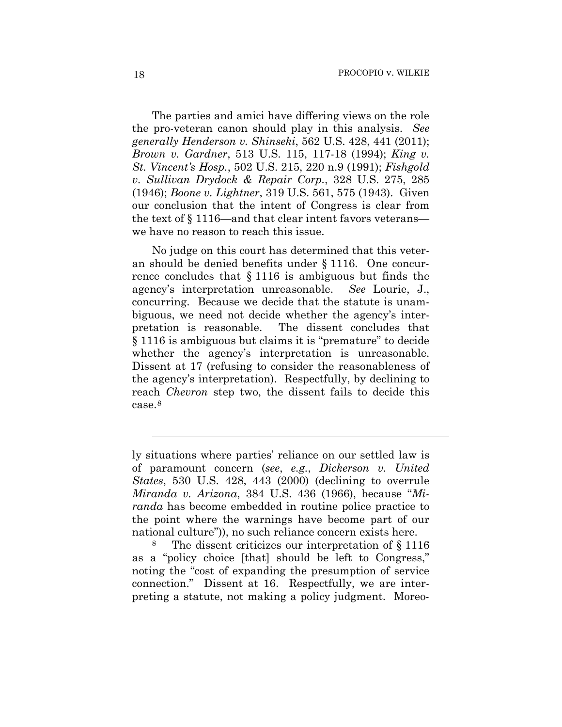The parties and amici have differing views on the role the pro-veteran canon should play in this analysis. *See generally Henderson v. Shinseki*, 562 U.S. 428, 441 (2011); *Brown v. Gardner*, 513 U.S. 115, 117-18 (1994); *King v. St. Vincent's Hosp.*, 502 U.S. 215, 220 n.9 (1991); *Fishgold v. Sullivan Drydock & Repair Corp.*, 328 U.S. 275, 285 (1946); *Boone v. Lightner*, 319 U.S. 561, 575 (1943). Given our conclusion that the intent of Congress is clear from the text of § 1116—and that clear intent favors veterans we have no reason to reach this issue.

No judge on this court has determined that this veteran should be denied benefits under § 1116. One concurrence concludes that § 1116 is ambiguous but finds the agency's interpretation unreasonable. *See* Lourie, J., concurring. Because we decide that the statute is unambiguous, we need not decide whether the agency's interpretation is reasonable. The dissent concludes that § 1116 is ambiguous but claims it is "premature" to decide whether the agency's interpretation is unreasonable. Dissent at 17 (refusing to consider the reasonableness of the agency's interpretation). Respectfully, by declining to reach *Chevron* step two, the dissent fails to decide this case.8

8 The dissent criticizes our interpretation of § 1116 as a "policy choice [that] should be left to Congress," noting the "cost of expanding the presumption of service connection." Dissent at 16. Respectfully, we are interpreting a statute, not making a policy judgment. Moreo-

l

ly situations where parties' reliance on our settled law is of paramount concern (*see*, *e.g.*, *Dickerson v. United States*, 530 U.S. 428, 443 (2000) (declining to overrule *Miranda v. Arizona*, 384 U.S. 436 (1966), because "*Miranda* has become embedded in routine police practice to the point where the warnings have become part of our national culture")), no such reliance concern exists here.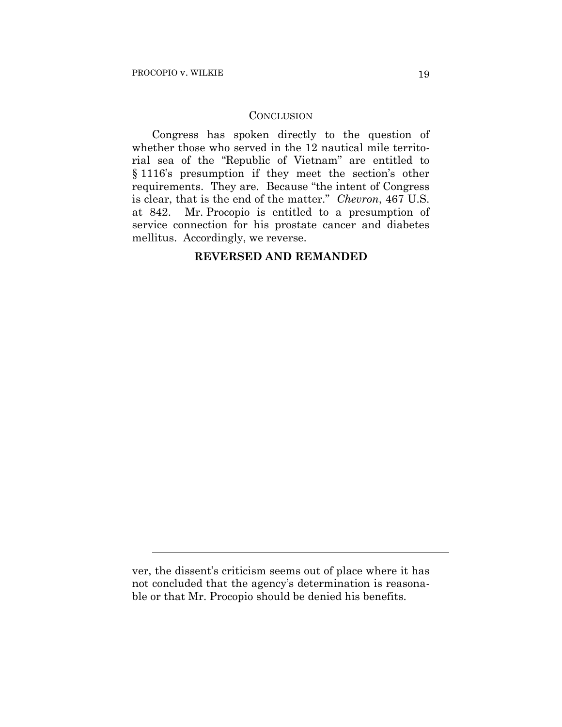l

### **CONCLUSION**

Congress has spoken directly to the question of whether those who served in the 12 nautical mile territorial sea of the "Republic of Vietnam" are entitled to § 1116's presumption if they meet the section's other requirements. They are. Because "the intent of Congress is clear, that is the end of the matter." *Chevron*, 467 U.S. at 842. Mr. Procopio is entitled to a presumption of service connection for his prostate cancer and diabetes mellitus. Accordingly, we reverse.

## **REVERSED AND REMANDED**

ver, the dissent's criticism seems out of place where it has not concluded that the agency's determination is reasonable or that Mr. Procopio should be denied his benefits.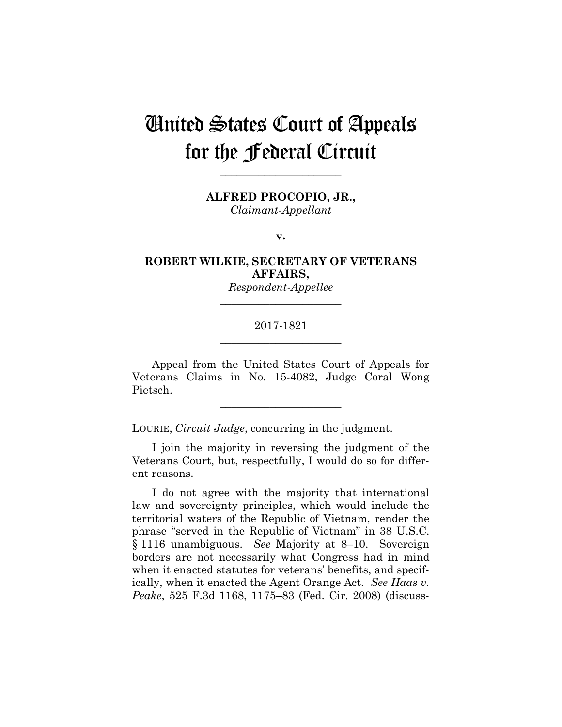# United States Court of Appeals for the Federal Circuit

**ALFRED PROCOPIO, JR.,**

**\_\_\_\_\_\_\_\_\_\_\_\_\_\_\_\_\_\_\_\_\_\_** 

*Claimant-Appellant*

**v.**

**ROBERT WILKIE, SECRETARY OF VETERANS AFFAIRS,**

> *Respondent-Appellee* **\_\_\_\_\_\_\_\_\_\_\_\_\_\_\_\_\_\_\_\_\_\_**

### 2017-1821 **\_\_\_\_\_\_\_\_\_\_\_\_\_\_\_\_\_\_\_\_\_\_**

Appeal from the United States Court of Appeals for Veterans Claims in No. 15-4082, Judge Coral Wong Pietsch.

**\_\_\_\_\_\_\_\_\_\_\_\_\_\_\_\_\_\_\_\_\_\_** 

LOURIE, *Circuit Judge*, concurring in the judgment.

I join the majority in reversing the judgment of the Veterans Court, but, respectfully, I would do so for different reasons.

I do not agree with the majority that international law and sovereignty principles, which would include the territorial waters of the Republic of Vietnam, render the phrase "served in the Republic of Vietnam" in 38 U.S.C. § 1116 unambiguous. *See* Majority at 8–10. Sovereign borders are not necessarily what Congress had in mind when it enacted statutes for veterans' benefits, and specifically, when it enacted the Agent Orange Act. *See Haas v. Peake*, 525 F.3d 1168, 1175–83 (Fed. Cir. 2008) (discuss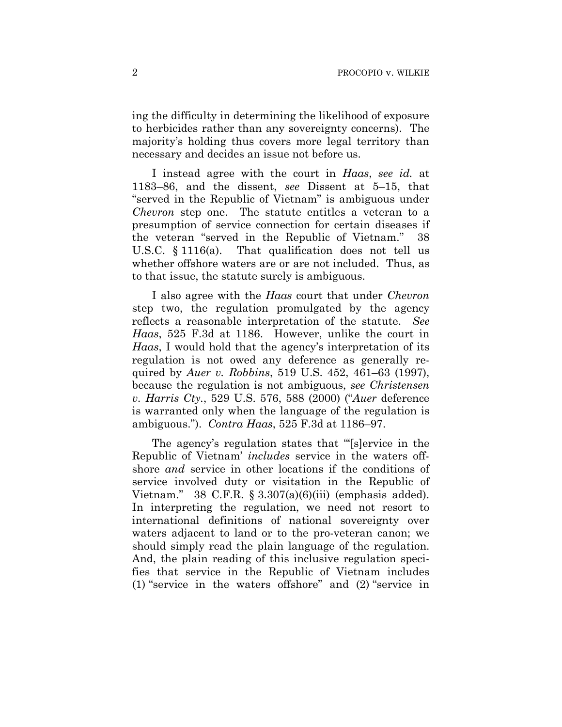ing the difficulty in determining the likelihood of exposure to herbicides rather than any sovereignty concerns). The majority's holding thus covers more legal territory than necessary and decides an issue not before us.

I instead agree with the court in *Haas*, *see id.* at 1183–86, and the dissent, *see* Dissent at 5–15, that "served in the Republic of Vietnam" is ambiguous under *Chevron* step one. The statute entitles a veteran to a presumption of service connection for certain diseases if the veteran "served in the Republic of Vietnam." 38 U.S.C. § 1116(a). That qualification does not tell us whether offshore waters are or are not included. Thus, as to that issue, the statute surely is ambiguous.

I also agree with the *Haas* court that under *Chevron* step two, the regulation promulgated by the agency reflects a reasonable interpretation of the statute. *See Haas*, 525 F.3d at 1186. However, unlike the court in *Haas*, I would hold that the agency's interpretation of its regulation is not owed any deference as generally required by *Auer v. Robbins*, 519 U.S. 452, 461–63 (1997), because the regulation is not ambiguous, *see Christensen v. Harris Cty.*, 529 U.S. 576, 588 (2000) ("*Auer* deference is warranted only when the language of the regulation is ambiguous."). *Contra Haas*, 525 F.3d at 1186–97.

The agency's regulation states that "'[s]ervice in the Republic of Vietnam' *includes* service in the waters offshore *and* service in other locations if the conditions of service involved duty or visitation in the Republic of Vietnam." 38 C.F.R.  $\S 3.307(a)(6)(iii)$  (emphasis added). In interpreting the regulation, we need not resort to international definitions of national sovereignty over waters adjacent to land or to the pro-veteran canon; we should simply read the plain language of the regulation. And, the plain reading of this inclusive regulation specifies that service in the Republic of Vietnam includes (1) "service in the waters offshore" and (2) "service in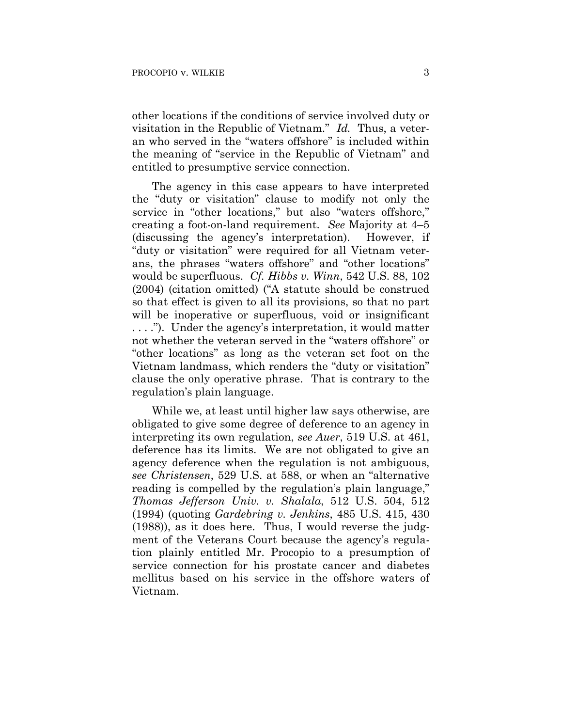other locations if the conditions of service involved duty or visitation in the Republic of Vietnam." *Id.* Thus, a veteran who served in the "waters offshore" is included within the meaning of "service in the Republic of Vietnam" and entitled to presumptive service connection.

The agency in this case appears to have interpreted the "duty or visitation" clause to modify not only the service in "other locations," but also "waters offshore," creating a foot-on-land requirement. *See* Majority at 4–5 (discussing the agency's interpretation). However, if "duty or visitation" were required for all Vietnam veterans, the phrases "waters offshore" and "other locations" would be superfluous. *Cf. Hibbs v. Winn*, 542 U.S. 88, 102 (2004) (citation omitted) ("A statute should be construed so that effect is given to all its provisions, so that no part will be inoperative or superfluous, void or insignificant . . . ."). Under the agency's interpretation, it would matter not whether the veteran served in the "waters offshore" or "other locations" as long as the veteran set foot on the Vietnam landmass, which renders the "duty or visitation" clause the only operative phrase. That is contrary to the regulation's plain language.

While we, at least until higher law says otherwise, are obligated to give some degree of deference to an agency in interpreting its own regulation, *see Auer*, 519 U.S. at 461, deference has its limits. We are not obligated to give an agency deference when the regulation is not ambiguous, *see Christensen*, 529 U.S. at 588, or when an "alternative reading is compelled by the regulation's plain language," *Thomas Jefferson Univ. v. Shalala*, 512 U.S. 504, 512 (1994) (quoting *Gardebring v. Jenkins*, 485 U.S. 415, 430 (1988)), as it does here. Thus, I would reverse the judgment of the Veterans Court because the agency's regulation plainly entitled Mr. Procopio to a presumption of service connection for his prostate cancer and diabetes mellitus based on his service in the offshore waters of Vietnam.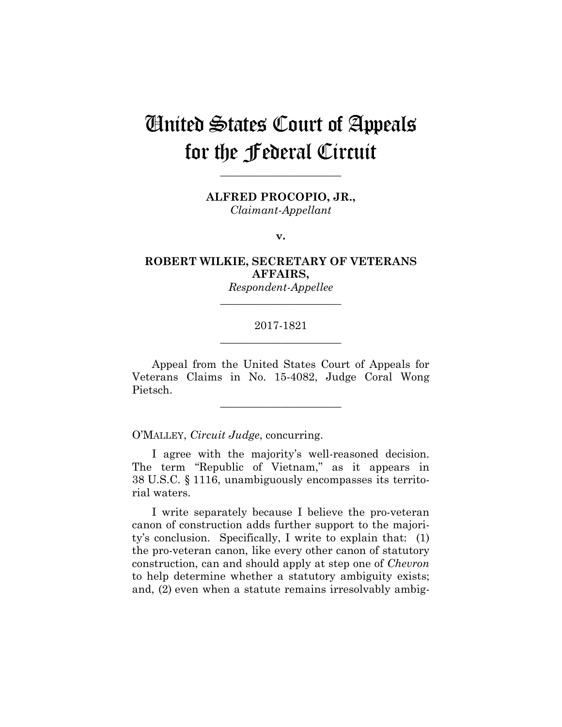# United States Court of Appeals for the Federal Circuit

**ALFRED PROCOPIO, JR.,**

**\_\_\_\_\_\_\_\_\_\_\_\_\_\_\_\_\_\_\_\_\_\_** 

*Claimant-Appellant*

**v.**

**ROBERT WILKIE, SECRETARY OF VETERANS AFFAIRS,**

> *Respondent-Appellee* **\_\_\_\_\_\_\_\_\_\_\_\_\_\_\_\_\_\_\_\_\_\_**

## 2017-1821 **\_\_\_\_\_\_\_\_\_\_\_\_\_\_\_\_\_\_\_\_\_\_**

Appeal from the United States Court of Appeals for Veterans Claims in No. 15-4082, Judge Coral Wong Pietsch.

**\_\_\_\_\_\_\_\_\_\_\_\_\_\_\_\_\_\_\_\_\_\_** 

O'MALLEY, *Circuit Judge*, concurring.

I agree with the majority's well-reasoned decision. The term "Republic of Vietnam," as it appears in 38 U.S.C. § 1116, unambiguously encompasses its territorial waters.

I write separately because I believe the pro-veteran canon of construction adds further support to the majority's conclusion. Specifically, I write to explain that: (1) the pro-veteran canon, like every other canon of statutory construction, can and should apply at step one of *Chevron* to help determine whether a statutory ambiguity exists; and, (2) even when a statute remains irresolvably ambig-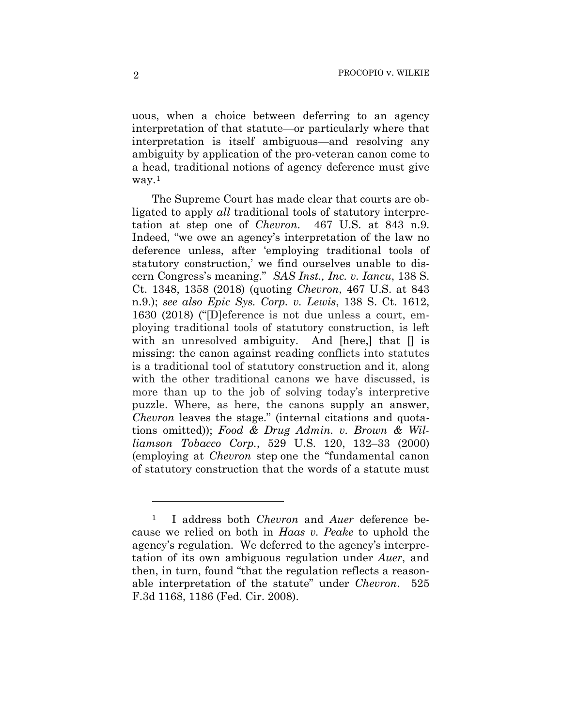uous, when a choice between deferring to an agency interpretation of that statute—or particularly where that interpretation is itself ambiguous—and resolving any ambiguity by application of the pro-veteran canon come to a head, traditional notions of agency deference must give  $way.<sup>1</sup>$ 

The Supreme Court has made clear that courts are obligated to apply *all* traditional tools of statutory interpretation at step one of *Chevron*.467 U.S. at 843 n.9. Indeed, "we owe an agency's interpretation of the law no deference unless, after 'employing traditional tools of statutory construction,' we find ourselves unable to discern Congress's meaning." *SAS Inst., Inc. v. Iancu*, 138 S. Ct. 1348, 1358 (2018) (quoting *Chevron*, 467 U.S. at 843 n.9.); *see also Epic Sys. Corp. v. Lewis*, 138 S. Ct. 1612, 1630 (2018) ("[D]eference is not due unless a court, employing traditional tools of statutory construction, is left with an unresolved ambiguity. And [here,] that  $\parallel$  is missing: the canon against reading conflicts into statutes is a traditional tool of statutory construction and it, along with the other traditional canons we have discussed, is more than up to the job of solving today's interpretive puzzle. Where, as here, the canons supply an answer, *Chevron* leaves the stage." (internal citations and quotations omitted)); *Food & Drug Admin. v. Brown & Williamson Tobacco Corp.*, 529 U.S. 120, 132–33 (2000) (employing at *Chevron* step one the "fundamental canon of statutory construction that the words of a statute must

<u>.</u>

<sup>1</sup> I address both *Chevron* and *Auer* deference because we relied on both in *Haas v. Peake* to uphold the agency's regulation. We deferred to the agency's interpretation of its own ambiguous regulation under *Auer*, and then, in turn, found "that the regulation reflects a reasonable interpretation of the statute" under *Chevron*. 525 F.3d 1168, 1186 (Fed. Cir. 2008).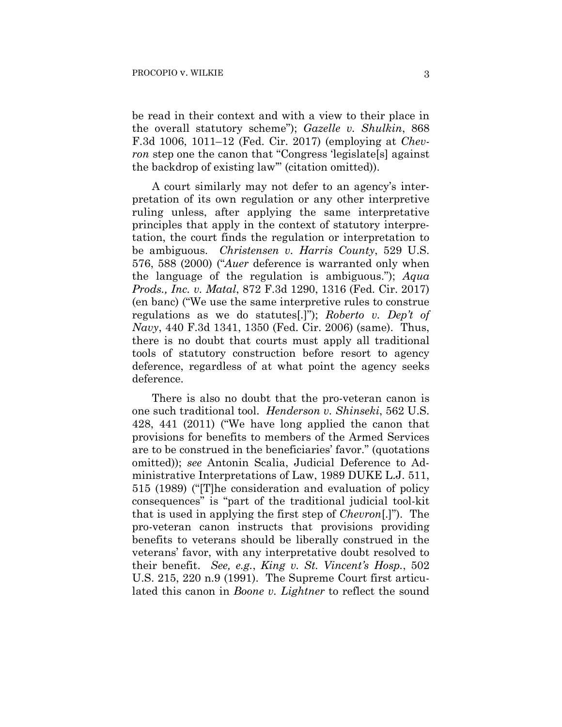be read in their context and with a view to their place in the overall statutory scheme"); *Gazelle v. Shulkin*, 868 F.3d 1006, 1011–12 (Fed. Cir. 2017) (employing at *Chevron* step one the canon that "Congress 'legislate<sup>[s]</sup> against the backdrop of existing law'" (citation omitted)).

A court similarly may not defer to an agency's interpretation of its own regulation or any other interpretive ruling unless, after applying the same interpretative principles that apply in the context of statutory interpretation, the court finds the regulation or interpretation to be ambiguous. *Christensen v. Harris County*, 529 U.S. 576, 588 (2000) ("*Auer* deference is warranted only when the language of the regulation is ambiguous."); *Aqua Prods., Inc. v. Matal*, 872 F.3d 1290, 1316 (Fed. Cir. 2017) (en banc) ("We use the same interpretive rules to construe regulations as we do statutes[.]"); *Roberto v. Dep't of Navy*, 440 F.3d 1341, 1350 (Fed. Cir. 2006) (same). Thus, there is no doubt that courts must apply all traditional tools of statutory construction before resort to agency deference, regardless of at what point the agency seeks deference.

There is also no doubt that the pro-veteran canon is one such traditional tool. *Henderson v. Shinseki*, 562 U.S. 428, 441 (2011) ("We have long applied the canon that provisions for benefits to members of the Armed Services are to be construed in the beneficiaries' favor." (quotations omitted)); *see* Antonin Scalia, Judicial Deference to Administrative Interpretations of Law, 1989 DUKE L.J. 511, 515 (1989) ("[T]he consideration and evaluation of policy consequences" is "part of the traditional judicial tool-kit that is used in applying the first step of *Chevron*[.]"). The pro-veteran canon instructs that provisions providing benefits to veterans should be liberally construed in the veterans' favor, with any interpretative doubt resolved to their benefit. *See, e.g.*, *King v. St. Vincent's Hosp.*, 502 U.S. 215, 220 n.9 (1991). The Supreme Court first articulated this canon in *Boone v. Lightner* to reflect the sound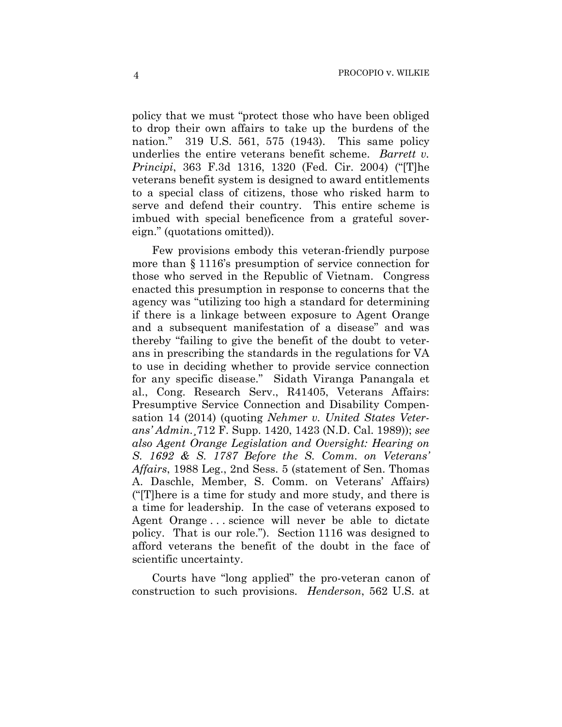policy that we must "protect those who have been obliged to drop their own affairs to take up the burdens of the nation." 319 U.S. 561, 575 (1943). This same policy underlies the entire veterans benefit scheme. *Barrett v. Principi*, 363 F.3d 1316, 1320 (Fed. Cir. 2004) ("[T]he veterans benefit system is designed to award entitlements to a special class of citizens, those who risked harm to serve and defend their country. This entire scheme is imbued with special beneficence from a grateful sovereign." (quotations omitted)).

Few provisions embody this veteran-friendly purpose more than § 1116's presumption of service connection for those who served in the Republic of Vietnam. Congress enacted this presumption in response to concerns that the agency was "utilizing too high a standard for determining if there is a linkage between exposure to Agent Orange and a subsequent manifestation of a disease" and was thereby "failing to give the benefit of the doubt to veterans in prescribing the standards in the regulations for VA to use in deciding whether to provide service connection for any specific disease." Sidath Viranga Panangala et al., Cong. Research Serv., R41405, Veterans Affairs: Presumptive Service Connection and Disability Compensation 14 (2014) (quoting *Nehmer v. United States Veterans' Admin.*¸712 F. Supp. 1420, 1423 (N.D. Cal. 1989)); *see also Agent Orange Legislation and Oversight: Hearing on S. 1692 & S. 1787 Before the S. Comm. on Veterans' Affairs*, 1988 Leg., 2nd Sess. 5 (statement of Sen. Thomas A. Daschle, Member, S. Comm. on Veterans' Affairs) ("[T]here is a time for study and more study, and there is a time for leadership. In the case of veterans exposed to Agent Orange . . . science will never be able to dictate policy. That is our role."). Section 1116 was designed to afford veterans the benefit of the doubt in the face of scientific uncertainty.

Courts have "long applied" the pro-veteran canon of construction to such provisions. *Henderson*, 562 U.S. at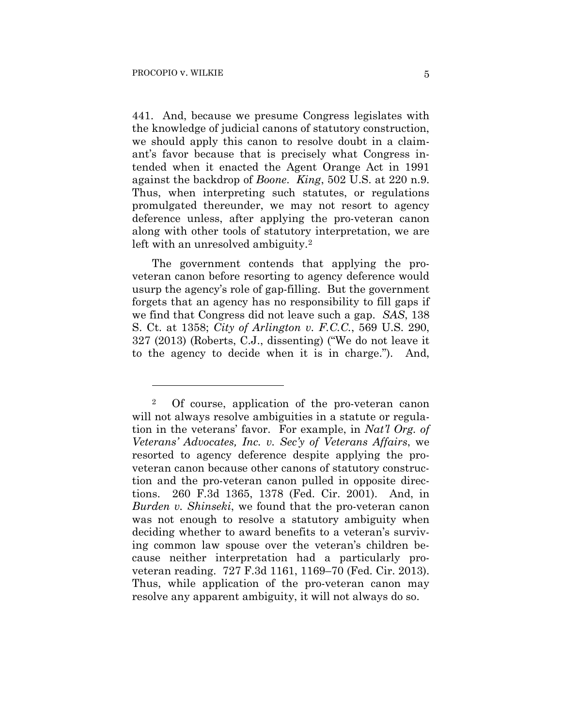<u>.</u>

441. And, because we presume Congress legislates with the knowledge of judicial canons of statutory construction, we should apply this canon to resolve doubt in a claimant's favor because that is precisely what Congress intended when it enacted the Agent Orange Act in 1991 against the backdrop of *Boone*. *King*, 502 U.S. at 220 n.9. Thus, when interpreting such statutes, or regulations promulgated thereunder, we may not resort to agency deference unless, after applying the pro-veteran canon along with other tools of statutory interpretation, we are left with an unresolved ambiguity.<sup>2</sup>

The government contends that applying the proveteran canon before resorting to agency deference would usurp the agency's role of gap-filling. But the government forgets that an agency has no responsibility to fill gaps if we find that Congress did not leave such a gap. *SAS*, 138 S. Ct. at 1358; *City of Arlington v. F.C.C.*, 569 U.S. 290, 327 (2013) (Roberts, C.J., dissenting) ("We do not leave it to the agency to decide when it is in charge."). And,

<sup>2</sup> Of course, application of the pro-veteran canon will not always resolve ambiguities in a statute or regulation in the veterans' favor. For example, in *Nat'l Org. of Veterans' Advocates, Inc. v. Sec'y of Veterans Affairs*, we resorted to agency deference despite applying the proveteran canon because other canons of statutory construction and the pro-veteran canon pulled in opposite directions. 260 F.3d 1365, 1378 (Fed. Cir. 2001).And, in *Burden v. Shinseki*, we found that the pro-veteran canon was not enough to resolve a statutory ambiguity when deciding whether to award benefits to a veteran's surviving common law spouse over the veteran's children because neither interpretation had a particularly proveteran reading. 727 F.3d 1161, 1169–70 (Fed. Cir. 2013). Thus, while application of the pro-veteran canon may resolve any apparent ambiguity, it will not always do so.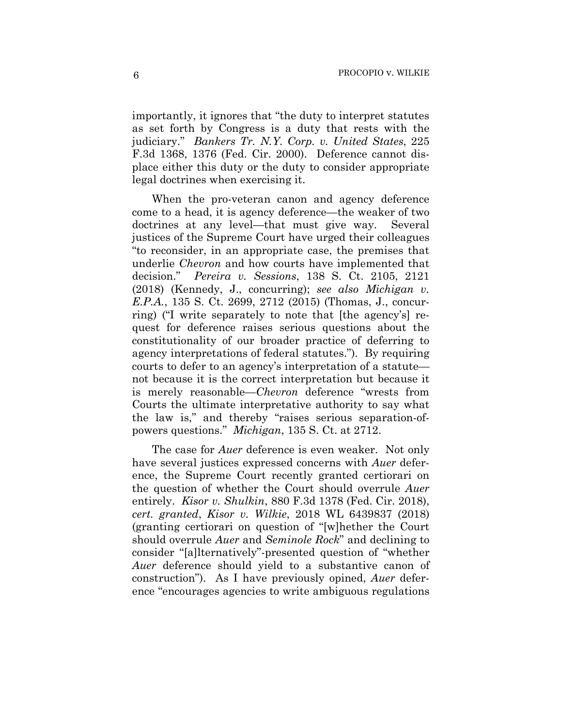importantly, it ignores that "the duty to interpret statutes as set forth by Congress is a duty that rests with the judiciary." *Bankers Tr. N.Y. Corp. v. United States*, 225 F.3d 1368, 1376 (Fed. Cir. 2000). Deference cannot displace either this duty or the duty to consider appropriate legal doctrines when exercising it.

When the pro-veteran canon and agency deference come to a head, it is agency deference—the weaker of two doctrines at any level—that must give way. Several justices of the Supreme Court have urged their colleagues "to reconsider, in an appropriate case, the premises that underlie *Chevron* and how courts have implemented that decision." *Pereira v. Sessions*, 138 S. Ct. 2105, 2121 (2018) (Kennedy, J., concurring); *see also Michigan v. E.P.A.*, 135 S. Ct. 2699, 2712 (2015) (Thomas, J., concurring) ("I write separately to note that [the agency's] request for deference raises serious questions about the constitutionality of our broader practice of deferring to agency interpretations of federal statutes."). By requiring courts to defer to an agency's interpretation of a statute not because it is the correct interpretation but because it is merely reasonable—*Chevron* deference "wrests from Courts the ultimate interpretative authority to say what the law is," and thereby "raises serious separation-ofpowers questions." *Michigan*, 135 S. Ct. at 2712.

The case for *Auer* deference is even weaker. Not only have several justices expressed concerns with *Auer* deference, the Supreme Court recently granted certiorari on the question of whether the Court should overrule *Auer* entirely. *Kisor v. Shulkin*, 880 F.3d 1378 (Fed. Cir. 2018), *cert. granted*, *Kisor v. Wilkie*, 2018 WL 6439837 (2018) (granting certiorari on question of "[w]hether the Court should overrule *Auer* and *Seminole Rock*" and declining to consider "[a]lternatively"-presented question of "whether *Auer* deference should yield to a substantive canon of construction"). As I have previously opined, *Auer* deference "encourages agencies to write ambiguous regulations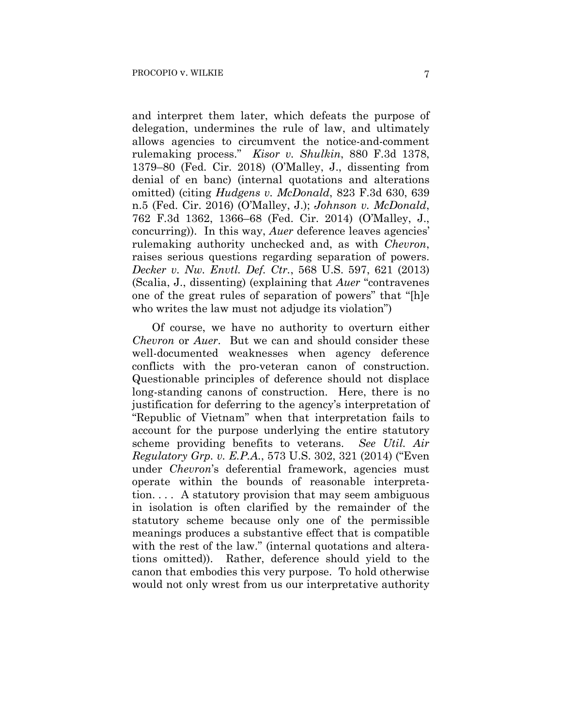and interpret them later, which defeats the purpose of delegation, undermines the rule of law, and ultimately allows agencies to circumvent the notice-and-comment rulemaking process." *Kisor v. Shulkin*, 880 F.3d 1378, 1379–80 (Fed. Cir. 2018) (O'Malley, J., dissenting from denial of en banc) (internal quotations and alterations omitted) (citing *Hudgens v. McDonald*, 823 F.3d 630, 639 n.5 (Fed. Cir. 2016) (O'Malley, J.); *Johnson v. McDonald*, 762 F.3d 1362, 1366–68 (Fed. Cir. 2014) (O'Malley, J., concurring)). In this way, *Auer* deference leaves agencies' rulemaking authority unchecked and, as with *Chevron*, raises serious questions regarding separation of powers. *Decker v. Nw. Envtl. Def. Ctr.*, 568 U.S. 597, 621 (2013) (Scalia, J., dissenting) (explaining that *Auer* "contravenes one of the great rules of separation of powers" that "[h]e who writes the law must not adjudge its violation")

Of course, we have no authority to overturn either *Chevron* or *Auer*. But we can and should consider these well-documented weaknesses when agency deference conflicts with the pro-veteran canon of construction. Questionable principles of deference should not displace long-standing canons of construction. Here, there is no justification for deferring to the agency's interpretation of "Republic of Vietnam" when that interpretation fails to account for the purpose underlying the entire statutory scheme providing benefits to veterans. *See Util. Air Regulatory Grp. v. E.P.A.*, 573 U.S. 302, 321 (2014) ("Even under *Chevron*'s deferential framework, agencies must operate within the bounds of reasonable interpretation. . . . A statutory provision that may seem ambiguous in isolation is often clarified by the remainder of the statutory scheme because only one of the permissible meanings produces a substantive effect that is compatible with the rest of the law." (internal quotations and alterations omitted)). Rather, deference should yield to the canon that embodies this very purpose. To hold otherwise would not only wrest from us our interpretative authority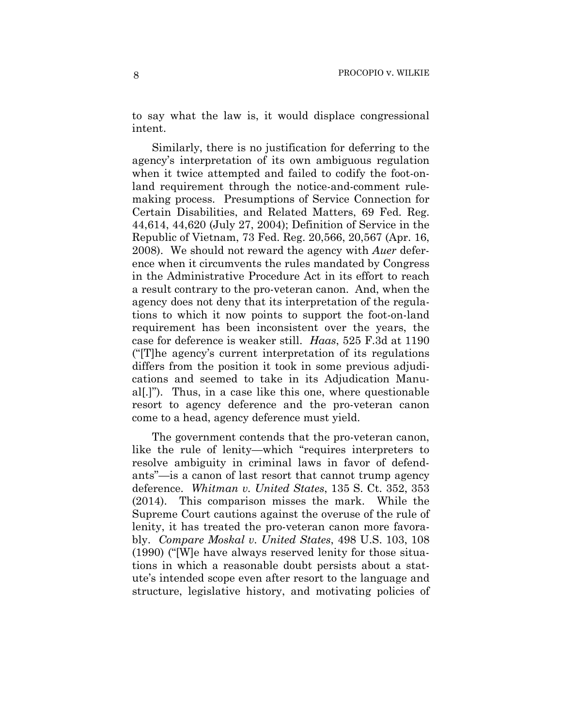to say what the law is, it would displace congressional intent.

Similarly, there is no justification for deferring to the agency's interpretation of its own ambiguous regulation when it twice attempted and failed to codify the foot-onland requirement through the notice-and-comment rulemaking process. Presumptions of Service Connection for Certain Disabilities, and Related Matters, 69 Fed. Reg. 44,614, 44,620 (July 27, 2004); Definition of Service in the Republic of Vietnam, 73 Fed. Reg. 20,566, 20,567 (Apr. 16, 2008). We should not reward the agency with *Auer* deference when it circumvents the rules mandated by Congress in the Administrative Procedure Act in its effort to reach a result contrary to the pro-veteran canon. And, when the agency does not deny that its interpretation of the regulations to which it now points to support the foot-on-land requirement has been inconsistent over the years, the case for deference is weaker still. *Haas*, 525 F.3d at 1190 ("[T]he agency's current interpretation of its regulations differs from the position it took in some previous adjudications and seemed to take in its Adjudication Manual[.]"). Thus, in a case like this one, where questionable resort to agency deference and the pro-veteran canon come to a head, agency deference must yield.

The government contends that the pro-veteran canon, like the rule of lenity—which "requires interpreters to resolve ambiguity in criminal laws in favor of defendants"—is a canon of last resort that cannot trump agency deference. *Whitman v. United States*, 135 S. Ct. 352, 353 (2014). This comparison misses the mark. While the Supreme Court cautions against the overuse of the rule of lenity, it has treated the pro-veteran canon more favorably. *Compare Moskal v. United States*, 498 U.S. 103, 108 (1990) ("[W]e have always reserved lenity for those situations in which a reasonable doubt persists about a statute's intended scope even after resort to the language and structure, legislative history, and motivating policies of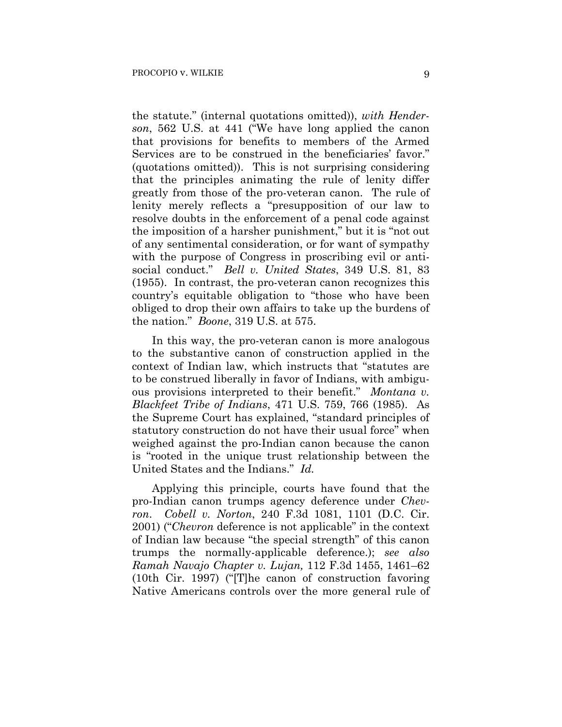the statute." (internal quotations omitted)), *with Henderson*, 562 U.S. at 441 ("We have long applied the canon that provisions for benefits to members of the Armed Services are to be construed in the beneficiaries' favor." (quotations omitted)). This is not surprising considering that the principles animating the rule of lenity differ greatly from those of the pro-veteran canon. The rule of lenity merely reflects a "presupposition of our law to resolve doubts in the enforcement of a penal code against the imposition of a harsher punishment," but it is "not out of any sentimental consideration, or for want of sympathy with the purpose of Congress in proscribing evil or antisocial conduct." *Bell v. United States*, 349 U.S. 81, 83 (1955). In contrast, the pro-veteran canon recognizes this country's equitable obligation to "those who have been obliged to drop their own affairs to take up the burdens of the nation." *Boone*, 319 U.S. at 575.

In this way, the pro-veteran canon is more analogous to the substantive canon of construction applied in the context of Indian law, which instructs that "statutes are to be construed liberally in favor of Indians, with ambiguous provisions interpreted to their benefit." *Montana v. Blackfeet Tribe of Indians*, 471 U.S. 759, 766 (1985). As the Supreme Court has explained, "standard principles of statutory construction do not have their usual force" when weighed against the pro-Indian canon because the canon is "rooted in the unique trust relationship between the United States and the Indians." *Id.*

Applying this principle, courts have found that the pro-Indian canon trumps agency deference under *Chevron*. *Cobell v. Norton*, 240 F.3d 1081, 1101 (D.C. Cir. 2001) ("*Chevron* deference is not applicable" in the context of Indian law because "the special strength" of this canon trumps the normally-applicable deference.); *see also Ramah Navajo Chapter v. Lujan,* 112 F.3d 1455, 1461–62 (10th Cir. 1997) ("[T]he canon of construction favoring Native Americans controls over the more general rule of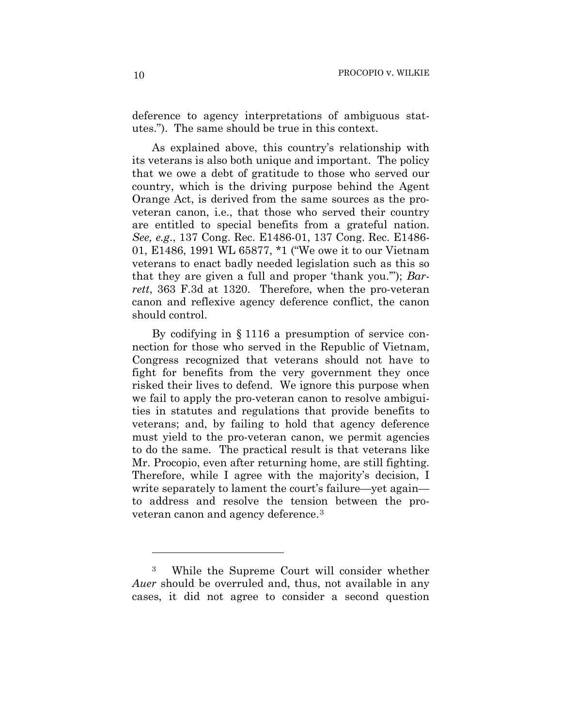deference to agency interpretations of ambiguous statutes."). The same should be true in this context.

As explained above, this country's relationship with its veterans is also both unique and important. The policy that we owe a debt of gratitude to those who served our country, which is the driving purpose behind the Agent Orange Act, is derived from the same sources as the proveteran canon, i.e., that those who served their country are entitled to special benefits from a grateful nation. *See, e.g*., 137 Cong. Rec. E1486-01, 137 Cong. Rec. E1486- 01, E1486, 1991 WL 65877, \*1 ("We owe it to our Vietnam veterans to enact badly needed legislation such as this so that they are given a full and proper 'thank you.'"); *Barrett*, 363 F.3d at 1320. Therefore, when the pro-veteran canon and reflexive agency deference conflict, the canon should control.

By codifying in § 1116 a presumption of service connection for those who served in the Republic of Vietnam, Congress recognized that veterans should not have to fight for benefits from the very government they once risked their lives to defend. We ignore this purpose when we fail to apply the pro-veteran canon to resolve ambiguities in statutes and regulations that provide benefits to veterans; and, by failing to hold that agency deference must yield to the pro-veteran canon, we permit agencies to do the same. The practical result is that veterans like Mr. Procopio, even after returning home, are still fighting. Therefore, while I agree with the majority's decision, I write separately to lament the court's failure—yet again to address and resolve the tension between the proveteran canon and agency deference.3

1

<sup>3</sup> While the Supreme Court will consider whether *Auer* should be overruled and, thus, not available in any cases, it did not agree to consider a second question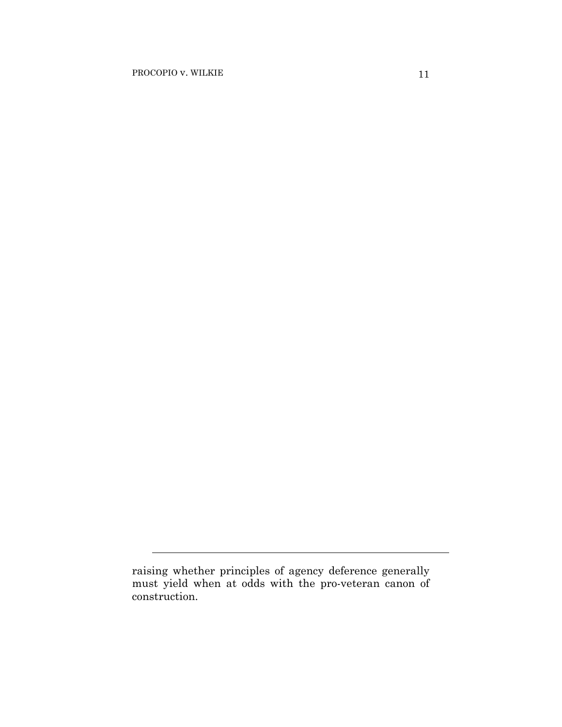l

raising whether principles of agency deference generally must yield when at odds with the pro-veteran canon of construction.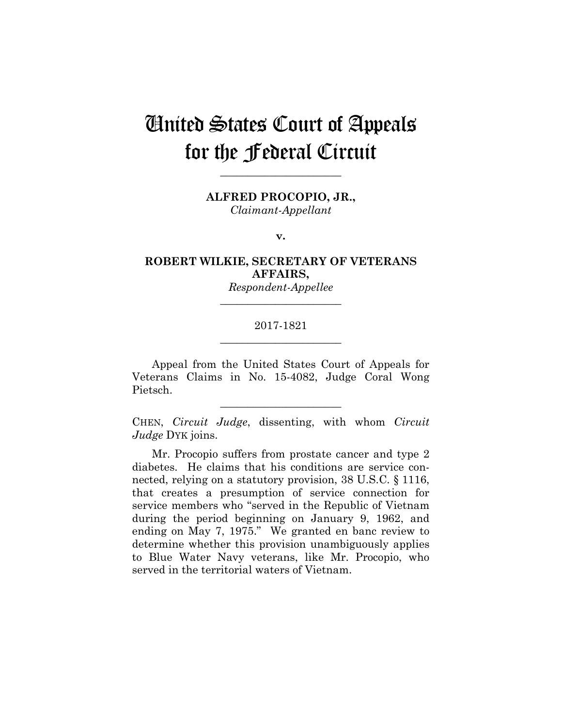# United States Court of Appeals for the Federal Circuit

**ALFRED PROCOPIO, JR.,**

**\_\_\_\_\_\_\_\_\_\_\_\_\_\_\_\_\_\_\_\_\_\_** 

*Claimant-Appellant*

**v.**

**ROBERT WILKIE, SECRETARY OF VETERANS AFFAIRS,**

> *Respondent-Appellee* **\_\_\_\_\_\_\_\_\_\_\_\_\_\_\_\_\_\_\_\_\_\_**

## 2017-1821 **\_\_\_\_\_\_\_\_\_\_\_\_\_\_\_\_\_\_\_\_\_\_**

Appeal from the United States Court of Appeals for Veterans Claims in No. 15-4082, Judge Coral Wong Pietsch.

CHEN, *Circuit Judge*, dissenting, with whom *Circuit Judge* DYK joins.

**\_\_\_\_\_\_\_\_\_\_\_\_\_\_\_\_\_\_\_\_\_\_** 

Mr. Procopio suffers from prostate cancer and type 2 diabetes. He claims that his conditions are service connected, relying on a statutory provision, 38 U.S.C. § 1116, that creates a presumption of service connection for service members who "served in the Republic of Vietnam during the period beginning on January 9, 1962, and ending on May 7, 1975." We granted en banc review to determine whether this provision unambiguously applies to Blue Water Navy veterans, like Mr. Procopio, who served in the territorial waters of Vietnam.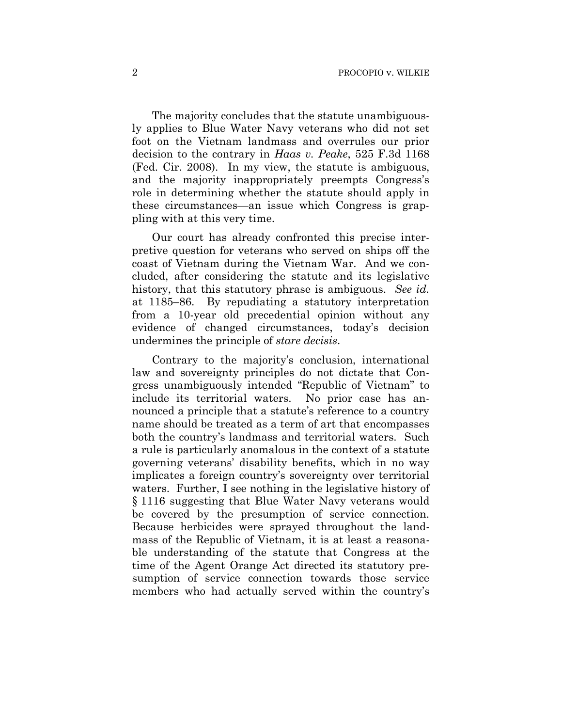The majority concludes that the statute unambiguously applies to Blue Water Navy veterans who did not set foot on the Vietnam landmass and overrules our prior decision to the contrary in *Haas v. Peake*, 525 F.3d 1168 (Fed. Cir. 2008). In my view, the statute is ambiguous, and the majority inappropriately preempts Congress's role in determining whether the statute should apply in these circumstances—an issue which Congress is grappling with at this very time.

Our court has already confronted this precise interpretive question for veterans who served on ships off the coast of Vietnam during the Vietnam War. And we concluded, after considering the statute and its legislative history, that this statutory phrase is ambiguous. *See id.* at 1185–86. By repudiating a statutory interpretation from a 10-year old precedential opinion without any evidence of changed circumstances, today's decision undermines the principle of *stare decisis*.

Contrary to the majority's conclusion, international law and sovereignty principles do not dictate that Congress unambiguously intended "Republic of Vietnam" to include its territorial waters. No prior case has announced a principle that a statute's reference to a country name should be treated as a term of art that encompasses both the country's landmass and territorial waters. Such a rule is particularly anomalous in the context of a statute governing veterans' disability benefits, which in no way implicates a foreign country's sovereignty over territorial waters. Further, I see nothing in the legislative history of § 1116 suggesting that Blue Water Navy veterans would be covered by the presumption of service connection. Because herbicides were sprayed throughout the landmass of the Republic of Vietnam, it is at least a reasonable understanding of the statute that Congress at the time of the Agent Orange Act directed its statutory presumption of service connection towards those service members who had actually served within the country's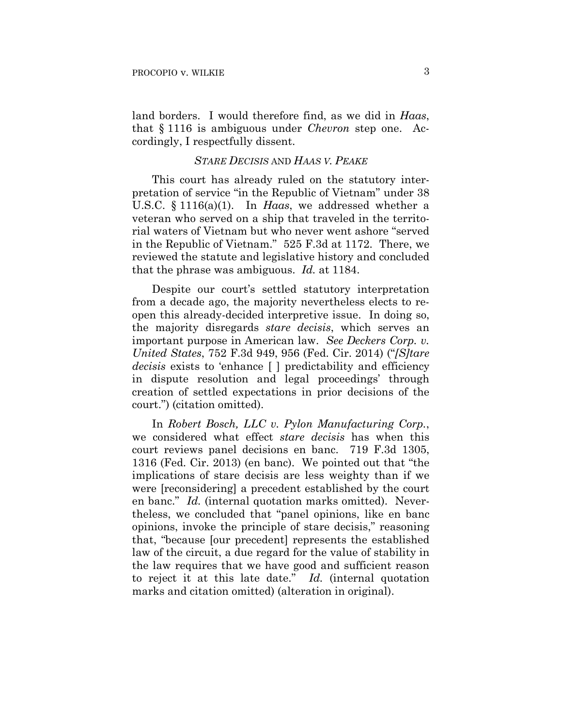land borders. I would therefore find, as we did in *Haas*, that § 1116 is ambiguous under *Chevron* step one. Accordingly, I respectfully dissent.

### *STARE DECISIS* AND *HAAS V. PEAKE*

This court has already ruled on the statutory interpretation of service "in the Republic of Vietnam" under 38 U.S.C. § 1116(a)(1). In *Haas*, we addressed whether a veteran who served on a ship that traveled in the territorial waters of Vietnam but who never went ashore "served in the Republic of Vietnam." 525 F.3d at 1172. There, we reviewed the statute and legislative history and concluded that the phrase was ambiguous. *Id.* at 1184.

Despite our court's settled statutory interpretation from a decade ago, the majority nevertheless elects to reopen this already-decided interpretive issue. In doing so, the majority disregards *stare decisis*, which serves an important purpose in American law. *See Deckers Corp. v. United States*, 752 F.3d 949, 956 (Fed. Cir. 2014) ("*[S]tare decisis* exists to 'enhance [ ] predictability and efficiency in dispute resolution and legal proceedings' through creation of settled expectations in prior decisions of the court.") (citation omitted).

In *Robert Bosch, LLC v. Pylon Manufacturing Corp.*, we considered what effect *stare decisis* has when this court reviews panel decisions en banc. 719 F.3d 1305, 1316 (Fed. Cir. 2013) (en banc). We pointed out that "the implications of stare decisis are less weighty than if we were [reconsidering] a precedent established by the court en banc." *Id.* (internal quotation marks omitted). Nevertheless, we concluded that "panel opinions, like en banc opinions, invoke the principle of stare decisis," reasoning that, "because [our precedent] represents the established law of the circuit, a due regard for the value of stability in the law requires that we have good and sufficient reason to reject it at this late date." *Id.* (internal quotation marks and citation omitted) (alteration in original).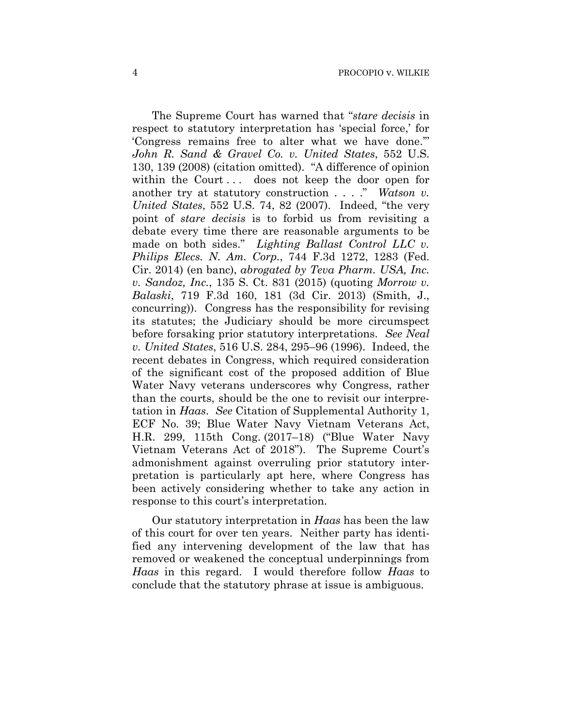The Supreme Court has warned that "*stare decisis* in respect to statutory interpretation has 'special force,' for 'Congress remains free to alter what we have done.'" *John R. Sand & Gravel Co. v. United States*, 552 U.S. 130, 139 (2008) (citation omitted). "A difference of opinion within the Court... does not keep the door open for another try at statutory construction . . . ." *Watson v. United States*, 552 U.S. 74, 82 (2007). Indeed, "the very point of *stare decisis* is to forbid us from revisiting a debate every time there are reasonable arguments to be made on both sides." *Lighting Ballast Control LLC v. Philips Elecs. N. Am. Corp.*, 744 F.3d 1272, 1283 (Fed. Cir. 2014) (en banc), *abrogated by Teva Pharm. USA, Inc. v. Sandoz, Inc.*, 135 S. Ct. 831 (2015) (quoting *Morrow v. Balaski*, 719 F.3d 160, 181 (3d Cir. 2013) (Smith, J., concurring)). Congress has the responsibility for revising its statutes; the Judiciary should be more circumspect before forsaking prior statutory interpretations. *See Neal v. United States*, 516 U.S. 284, 295–96 (1996). Indeed, the recent debates in Congress, which required consideration of the significant cost of the proposed addition of Blue Water Navy veterans underscores why Congress, rather than the courts, should be the one to revisit our interpretation in *Haas*. *See* Citation of Supplemental Authority 1, ECF No. 39; Blue Water Navy Vietnam Veterans Act, H.R. 299, 115th Cong. (2017–18) ("Blue Water Navy Vietnam Veterans Act of 2018"). The Supreme Court's admonishment against overruling prior statutory interpretation is particularly apt here, where Congress has been actively considering whether to take any action in response to this court's interpretation.

Our statutory interpretation in *Haas* has been the law of this court for over ten years. Neither party has identified any intervening development of the law that has removed or weakened the conceptual underpinnings from *Haas* in this regard. I would therefore follow *Haas* to conclude that the statutory phrase at issue is ambiguous.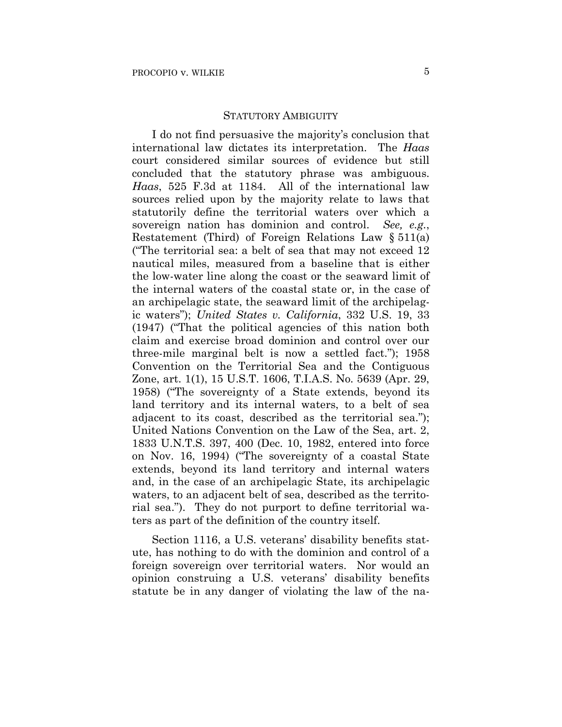#### STATUTORY AMBIGUITY

I do not find persuasive the majority's conclusion that international law dictates its interpretation. The *Haas* court considered similar sources of evidence but still concluded that the statutory phrase was ambiguous. *Haas*, 525 F.3d at 1184. All of the international law sources relied upon by the majority relate to laws that statutorily define the territorial waters over which a sovereign nation has dominion and control. *See, e.g.*, Restatement (Third) of Foreign Relations Law § 511(a) ("The territorial sea: a belt of sea that may not exceed 12 nautical miles, measured from a baseline that is either the low-water line along the coast or the seaward limit of the internal waters of the coastal state or, in the case of an archipelagic state, the seaward limit of the archipelagic waters"); *United States v. California*, 332 U.S. 19, 33 (1947) ("That the political agencies of this nation both claim and exercise broad dominion and control over our three-mile marginal belt is now a settled fact."); 1958 Convention on the Territorial Sea and the Contiguous Zone, art. 1(1), 15 U.S.T. 1606, T.I.A.S. No. 5639 (Apr. 29, 1958) ("The sovereignty of a State extends, beyond its land territory and its internal waters, to a belt of sea adjacent to its coast, described as the territorial sea."); United Nations Convention on the Law of the Sea, art. 2, 1833 U.N.T.S. 397, 400 (Dec. 10, 1982, entered into force on Nov. 16, 1994) ("The sovereignty of a coastal State extends, beyond its land territory and internal waters and, in the case of an archipelagic State, its archipelagic waters, to an adjacent belt of sea, described as the territorial sea."). They do not purport to define territorial waters as part of the definition of the country itself.

Section 1116, a U.S. veterans' disability benefits statute, has nothing to do with the dominion and control of a foreign sovereign over territorial waters. Nor would an opinion construing a U.S. veterans' disability benefits statute be in any danger of violating the law of the na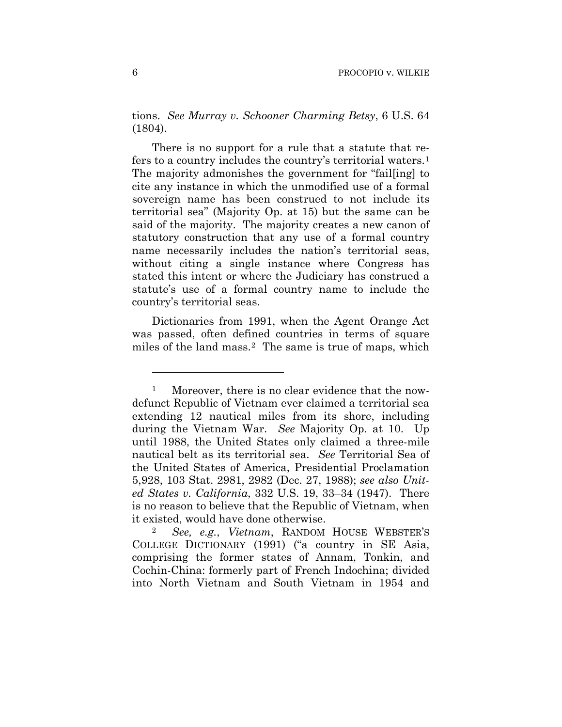tions. *See Murray v. Schooner Charming Betsy*, 6 U.S. 64 (1804).

There is no support for a rule that a statute that refers to a country includes the country's territorial waters.1 The majority admonishes the government for "fail[ing] to cite any instance in which the unmodified use of a formal sovereign name has been construed to not include its territorial sea" (Majority Op. at 15) but the same can be said of the majority. The majority creates a new canon of statutory construction that any use of a formal country name necessarily includes the nation's territorial seas, without citing a single instance where Congress has stated this intent or where the Judiciary has construed a statute's use of a formal country name to include the country's territorial seas.

Dictionaries from 1991, when the Agent Orange Act was passed, often defined countries in terms of square miles of the land mass.2 The same is true of maps, which

1

<sup>&</sup>lt;sup>1</sup> Moreover, there is no clear evidence that the nowdefunct Republic of Vietnam ever claimed a territorial sea extending 12 nautical miles from its shore, including during the Vietnam War. *See* Majority Op. at 10. Up until 1988, the United States only claimed a three-mile nautical belt as its territorial sea. *See* Territorial Sea of the United States of America, Presidential Proclamation 5,928, 103 Stat. 2981, 2982 (Dec. 27, 1988); *see also United States v. California*, 332 U.S. 19, 33–34 (1947). There is no reason to believe that the Republic of Vietnam, when it existed, would have done otherwise.

<sup>2</sup> *See, e.g.*, *Vietnam*, RANDOM HOUSE WEBSTER'S COLLEGE DICTIONARY (1991) ("a country in SE Asia, comprising the former states of Annam, Tonkin, and Cochin-China: formerly part of French Indochina; divided into North Vietnam and South Vietnam in 1954 and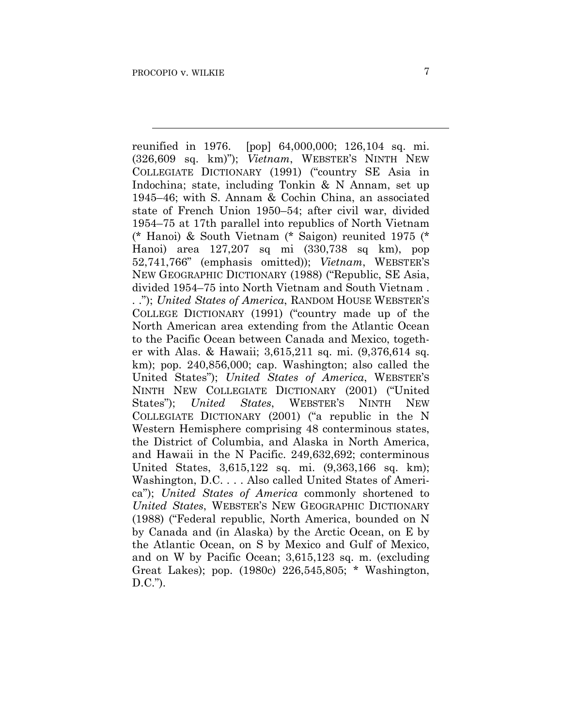$\overline{a}$ 

reunified in 1976. [pop] 64,000,000; 126,104 sq. mi. (326,609 sq. km)"); *Vietnam*, WEBSTER'S NINTH NEW COLLEGIATE DICTIONARY (1991) ("country SE Asia in Indochina; state, including Tonkin & N Annam, set up 1945–46; with S. Annam & Cochin China, an associated state of French Union 1950–54; after civil war, divided 1954–75 at 17th parallel into republics of North Vietnam (\* Hanoi) & South Vietnam (\* Saigon) reunited 1975 (\* Hanoi) area 127,207 sq mi (330,738 sq km), pop 52,741,766" (emphasis omitted)); *Vietnam*, WEBSTER'S NEW GEOGRAPHIC DICTIONARY (1988) ("Republic, SE Asia, divided 1954–75 into North Vietnam and South Vietnam . . ."); *United States of America*, RANDOM HOUSE WEBSTER'S COLLEGE DICTIONARY (1991) ("country made up of the North American area extending from the Atlantic Ocean to the Pacific Ocean between Canada and Mexico, together with Alas. & Hawaii; 3,615,211 sq. mi. (9,376,614 sq. km); pop. 240,856,000; cap. Washington; also called the United States"); *United States of America*, WEBSTER'S NINTH NEW COLLEGIATE DICTIONARY (2001) ("United States"); *United States*, WEBSTER'S NINTH NEW COLLEGIATE DICTIONARY (2001) ("a republic in the N Western Hemisphere comprising 48 conterminous states, the District of Columbia, and Alaska in North America, and Hawaii in the N Pacific. 249,632,692; conterminous United States, 3,615,122 sq. mi. (9,363,166 sq. km); Washington, D.C. . . . Also called United States of America"); *United States of America* commonly shortened to *United States*, WEBSTER'S NEW GEOGRAPHIC DICTIONARY (1988) ("Federal republic, North America, bounded on N by Canada and (in Alaska) by the Arctic Ocean, on E by the Atlantic Ocean, on S by Mexico and Gulf of Mexico, and on W by Pacific Ocean; 3,615,123 sq. m. (excluding Great Lakes); pop. (1980c) 226,545,805; \* Washington, D.C.").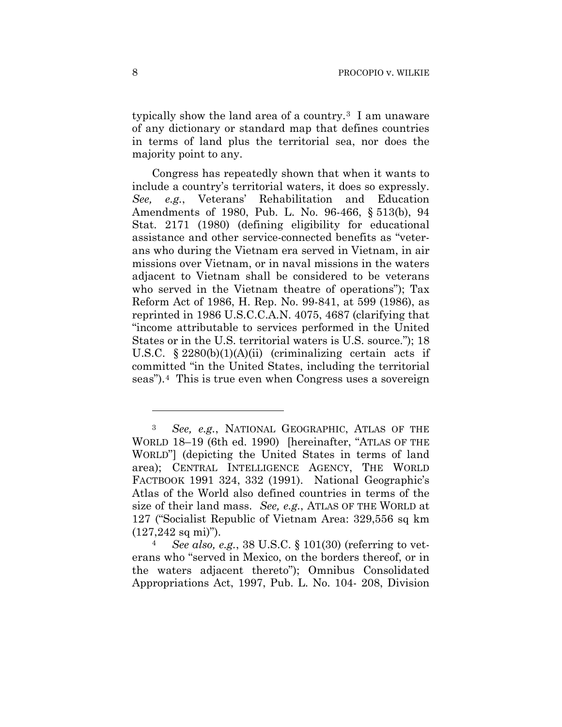typically show the land area of a country.3 I am unaware of any dictionary or standard map that defines countries in terms of land plus the territorial sea, nor does the majority point to any.

Congress has repeatedly shown that when it wants to include a country's territorial waters, it does so expressly. *See, e.g.*, Veterans' Rehabilitation and Education Amendments of 1980, Pub. L. No. 96-466, § 513(b), 94 Stat. 2171 (1980) (defining eligibility for educational assistance and other service-connected benefits as "veterans who during the Vietnam era served in Vietnam, in air missions over Vietnam, or in naval missions in the waters adjacent to Vietnam shall be considered to be veterans who served in the Vietnam theatre of operations"); Tax Reform Act of 1986, H. Rep. No. 99-841, at 599 (1986), as reprinted in 1986 U.S.C.C.A.N. 4075, 4687 (clarifying that "income attributable to services performed in the United States or in the U.S. territorial waters is U.S. source."); 18 U.S.C.  $\S 2280(b)(1)(A)(ii)$  (criminalizing certain acts if committed "in the United States, including the territorial seas").4 This is true even when Congress uses a sovereign

4 *See also, e.g.*, 38 U.S.C. § 101(30) (referring to veterans who "served in Mexico, on the borders thereof, or in the waters adjacent thereto"); Omnibus Consolidated Appropriations Act, 1997, Pub. L. No. 104- 208, Division

1

<sup>3</sup> *See, e.g.*, NATIONAL GEOGRAPHIC, ATLAS OF THE WORLD 18–19 (6th ed. 1990) [hereinafter, "ATLAS OF THE WORLD"] (depicting the United States in terms of land area); CENTRAL INTELLIGENCE AGENCY, THE WORLD FACTBOOK 1991 324, 332 (1991). National Geographic's Atlas of the World also defined countries in terms of the size of their land mass. *See, e.g.*, ATLAS OF THE WORLD at 127 ("Socialist Republic of Vietnam Area: 329,556 sq km  $(127,242 \text{ sq mi})$ ").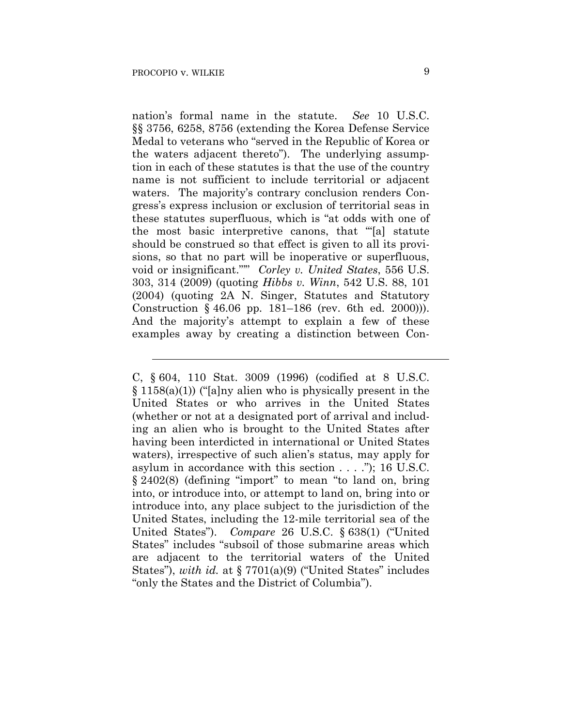$\overline{a}$ 

nation's formal name in the statute. *See* 10 U.S.C. §§ 3756, 6258, 8756 (extending the Korea Defense Service Medal to veterans who "served in the Republic of Korea or the waters adjacent thereto"). The underlying assumption in each of these statutes is that the use of the country name is not sufficient to include territorial or adjacent waters. The majority's contrary conclusion renders Congress's express inclusion or exclusion of territorial seas in these statutes superfluous, which is "at odds with one of the most basic interpretive canons, that '"[a] statute should be construed so that effect is given to all its provisions, so that no part will be inoperative or superfluous, void or insignificant."'" *Corley v. United States*, 556 U.S. 303, 314 (2009) (quoting *Hibbs v. Winn*, 542 U.S. 88, 101 (2004) (quoting 2A N. Singer, Statutes and Statutory Construction § 46.06 pp. 181–186 (rev. 6th ed. 2000))). And the majority's attempt to explain a few of these examples away by creating a distinction between Con-

C, § 604, 110 Stat. 3009 (1996) (codified at 8 U.S.C. § 1158(a)(1)) ("[a]ny alien who is physically present in the United States or who arrives in the United States (whether or not at a designated port of arrival and including an alien who is brought to the United States after having been interdicted in international or United States waters), irrespective of such alien's status, may apply for asylum in accordance with this section . . . ."); 16 U.S.C. § 2402(8) (defining "import" to mean "to land on, bring into, or introduce into, or attempt to land on, bring into or introduce into, any place subject to the jurisdiction of the United States, including the 12-mile territorial sea of the United States"). *Compare* 26 U.S.C. § 638(1) ("United States" includes "subsoil of those submarine areas which are adjacent to the territorial waters of the United States"), *with id.* at § 7701(a)(9) ("United States" includes "only the States and the District of Columbia").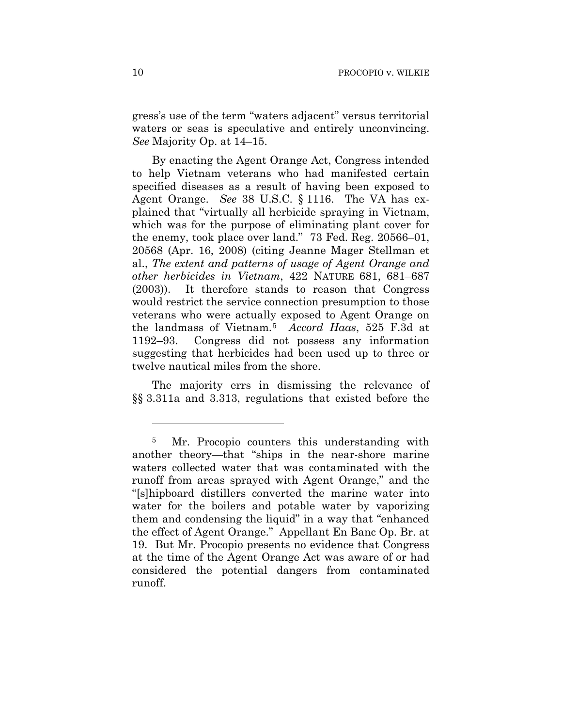gress's use of the term "waters adjacent" versus territorial waters or seas is speculative and entirely unconvincing. *See* Majority Op. at 14–15.

By enacting the Agent Orange Act, Congress intended to help Vietnam veterans who had manifested certain specified diseases as a result of having been exposed to Agent Orange. *See* 38 U.S.C. § 1116. The VA has explained that "virtually all herbicide spraying in Vietnam, which was for the purpose of eliminating plant cover for the enemy, took place over land." 73 Fed. Reg. 20566–01, 20568 (Apr. 16, 2008) (citing Jeanne Mager Stellman et al., *The extent and patterns of usage of Agent Orange and other herbicides in Vietnam*, 422 NATURE 681, 681–687 (2003)). It therefore stands to reason that Congress would restrict the service connection presumption to those veterans who were actually exposed to Agent Orange on the landmass of Vietnam.5 *Accord Haas*, 525 F.3d at 1192–93. Congress did not possess any information suggesting that herbicides had been used up to three or twelve nautical miles from the shore.

The majority errs in dismissing the relevance of §§ 3.311a and 3.313, regulations that existed before the

<u>.</u>

<sup>5</sup> Mr. Procopio counters this understanding with another theory—that "ships in the near-shore marine waters collected water that was contaminated with the runoff from areas sprayed with Agent Orange," and the "[s]hipboard distillers converted the marine water into water for the boilers and potable water by vaporizing them and condensing the liquid" in a way that "enhanced the effect of Agent Orange." Appellant En Banc Op. Br. at 19. But Mr. Procopio presents no evidence that Congress at the time of the Agent Orange Act was aware of or had considered the potential dangers from contaminated runoff.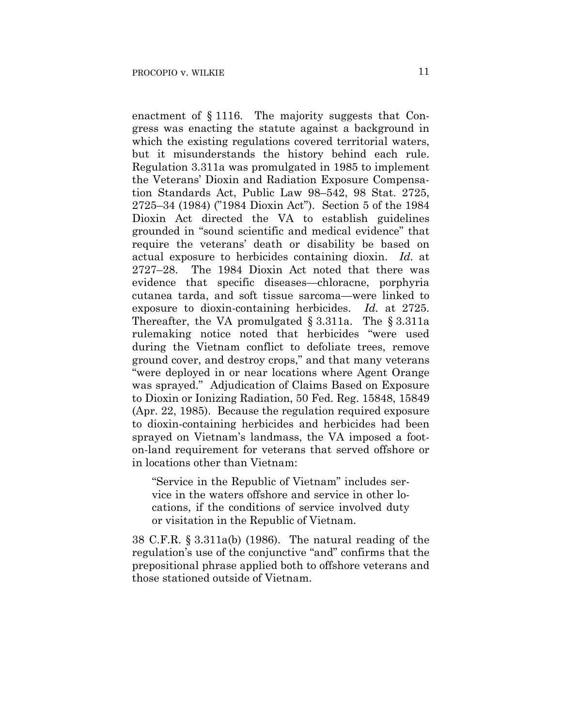enactment of § 1116. The majority suggests that Congress was enacting the statute against a background in which the existing regulations covered territorial waters, but it misunderstands the history behind each rule. Regulation 3.311a was promulgated in 1985 to implement the Veterans' Dioxin and Radiation Exposure Compensation Standards Act, Public Law 98–542, 98 Stat. 2725, 2725–34 (1984) ("1984 Dioxin Act"). Section 5 of the 1984 Dioxin Act directed the VA to establish guidelines grounded in "sound scientific and medical evidence" that require the veterans' death or disability be based on actual exposure to herbicides containing dioxin. *Id.* at 2727–28. The 1984 Dioxin Act noted that there was evidence that specific diseases—chloracne, porphyria cutanea tarda, and soft tissue sarcoma—were linked to exposure to dioxin-containing herbicides. *Id.* at 2725. Thereafter, the VA promulgated § 3.311a. The § 3.311a rulemaking notice noted that herbicides "were used during the Vietnam conflict to defoliate trees, remove ground cover, and destroy crops," and that many veterans "were deployed in or near locations where Agent Orange was sprayed." Adjudication of Claims Based on Exposure to Dioxin or Ionizing Radiation, 50 Fed. Reg. 15848, 15849 (Apr. 22, 1985). Because the regulation required exposure to dioxin-containing herbicides and herbicides had been sprayed on Vietnam's landmass, the VA imposed a footon-land requirement for veterans that served offshore or in locations other than Vietnam:

"Service in the Republic of Vietnam" includes service in the waters offshore and service in other locations, if the conditions of service involved duty or visitation in the Republic of Vietnam.

38 C.F.R. § 3.311a(b) (1986). The natural reading of the regulation's use of the conjunctive "and" confirms that the prepositional phrase applied both to offshore veterans and those stationed outside of Vietnam.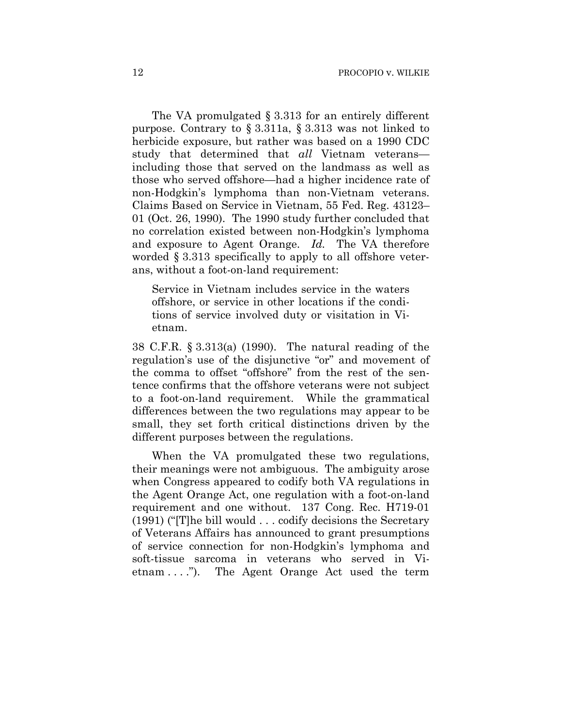The VA promulgated § 3.313 for an entirely different purpose. Contrary to § 3.311a, § 3.313 was not linked to herbicide exposure, but rather was based on a 1990 CDC study that determined that *all* Vietnam veterans including those that served on the landmass as well as those who served offshore—had a higher incidence rate of non-Hodgkin's lymphoma than non-Vietnam veterans. Claims Based on Service in Vietnam, 55 Fed. Reg. 43123– 01 (Oct. 26, 1990). The 1990 study further concluded that no correlation existed between non-Hodgkin's lymphoma and exposure to Agent Orange. *Id.* The VA therefore worded § 3.313 specifically to apply to all offshore veterans, without a foot-on-land requirement:

Service in Vietnam includes service in the waters offshore, or service in other locations if the conditions of service involved duty or visitation in Vietnam.

38 C.F.R. § 3.313(a) (1990). The natural reading of the regulation's use of the disjunctive "or" and movement of the comma to offset "offshore" from the rest of the sentence confirms that the offshore veterans were not subject to a foot-on-land requirement. While the grammatical differences between the two regulations may appear to be small, they set forth critical distinctions driven by the different purposes between the regulations.

When the VA promulgated these two regulations, their meanings were not ambiguous. The ambiguity arose when Congress appeared to codify both VA regulations in the Agent Orange Act, one regulation with a foot-on-land requirement and one without. 137 Cong. Rec. H719-01 (1991) ("[T]he bill would . . . codify decisions the Secretary of Veterans Affairs has announced to grant presumptions of service connection for non-Hodgkin's lymphoma and soft-tissue sarcoma in veterans who served in Vietnam . . . ."). The Agent Orange Act used the term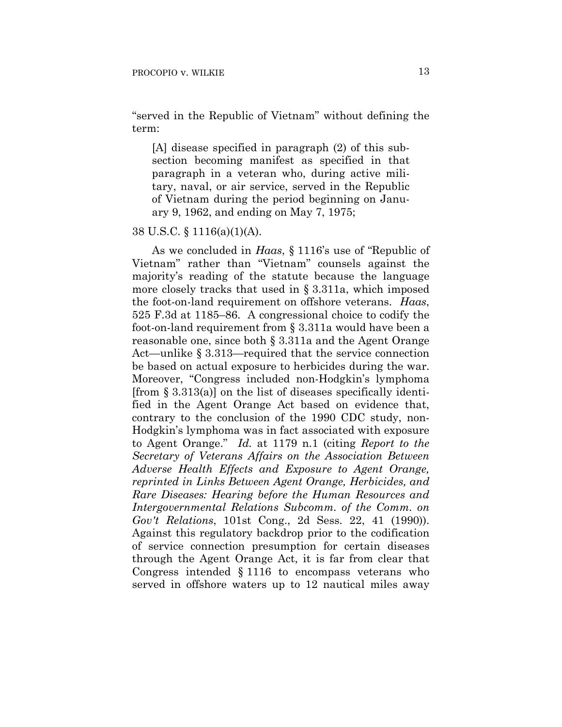"served in the Republic of Vietnam" without defining the term:

[A] disease specified in paragraph (2) of this subsection becoming manifest as specified in that paragraph in a veteran who, during active military, naval, or air service, served in the Republic of Vietnam during the period beginning on January 9, 1962, and ending on May 7, 1975;

38 U.S.C. § 1116(a)(1)(A).

As we concluded in *Haas*, § 1116's use of "Republic of Vietnam" rather than "Vietnam" counsels against the majority's reading of the statute because the language more closely tracks that used in § 3.311a, which imposed the foot-on-land requirement on offshore veterans. *Haas*, 525 F.3d at 1185–86. A congressional choice to codify the foot-on-land requirement from § 3.311a would have been a reasonable one, since both § 3.311a and the Agent Orange Act—unlike § 3.313—required that the service connection be based on actual exposure to herbicides during the war. Moreover, "Congress included non-Hodgkin's lymphoma [from  $\S 3.313(a)$ ] on the list of diseases specifically identified in the Agent Orange Act based on evidence that, contrary to the conclusion of the 1990 CDC study, non-Hodgkin's lymphoma was in fact associated with exposure to Agent Orange." *Id.* at 1179 n.1 (citing *Report to the Secretary of Veterans Affairs on the Association Between Adverse Health Effects and Exposure to Agent Orange, reprinted in Links Between Agent Orange, Herbicides, and Rare Diseases: Hearing before the Human Resources and Intergovernmental Relations Subcomm. of the Comm. on Gov't Relations*, 101st Cong., 2d Sess. 22, 41 (1990)). Against this regulatory backdrop prior to the codification of service connection presumption for certain diseases through the Agent Orange Act, it is far from clear that Congress intended § 1116 to encompass veterans who served in offshore waters up to 12 nautical miles away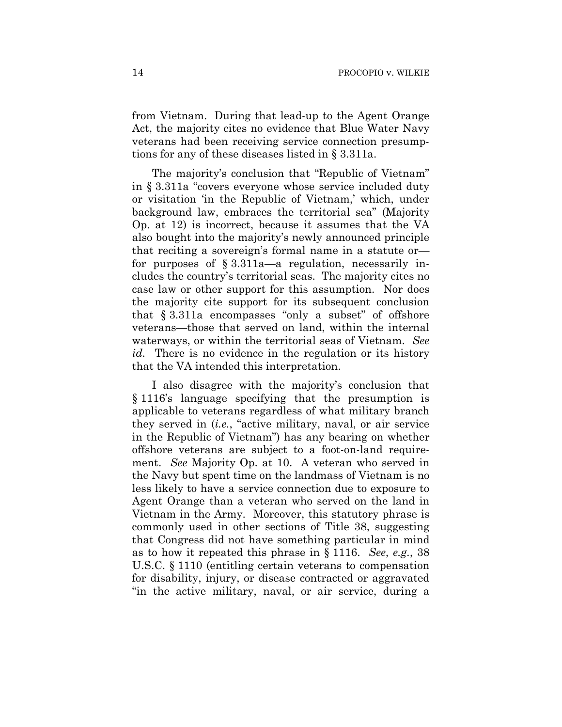from Vietnam. During that lead-up to the Agent Orange Act, the majority cites no evidence that Blue Water Navy veterans had been receiving service connection presumptions for any of these diseases listed in § 3.311a.

The majority's conclusion that "Republic of Vietnam" in § 3.311a "covers everyone whose service included duty or visitation 'in the Republic of Vietnam,' which, under background law, embraces the territorial sea" (Majority Op. at 12) is incorrect, because it assumes that the VA also bought into the majority's newly announced principle that reciting a sovereign's formal name in a statute or for purposes of § 3.311a—a regulation, necessarily includes the country's territorial seas. The majority cites no case law or other support for this assumption. Nor does the majority cite support for its subsequent conclusion that § 3.311a encompasses "only a subset" of offshore veterans—those that served on land, within the internal waterways, or within the territorial seas of Vietnam. *See id.* There is no evidence in the regulation or its history that the VA intended this interpretation.

I also disagree with the majority's conclusion that § 1116's language specifying that the presumption is applicable to veterans regardless of what military branch they served in (*i.e.*, "active military, naval, or air service in the Republic of Vietnam") has any bearing on whether offshore veterans are subject to a foot-on-land requirement. *See* Majority Op. at 10. A veteran who served in the Navy but spent time on the landmass of Vietnam is no less likely to have a service connection due to exposure to Agent Orange than a veteran who served on the land in Vietnam in the Army. Moreover, this statutory phrase is commonly used in other sections of Title 38, suggesting that Congress did not have something particular in mind as to how it repeated this phrase in § 1116. *See*, *e.g.*, 38 U.S.C. § 1110 (entitling certain veterans to compensation for disability, injury, or disease contracted or aggravated "in the active military, naval, or air service, during a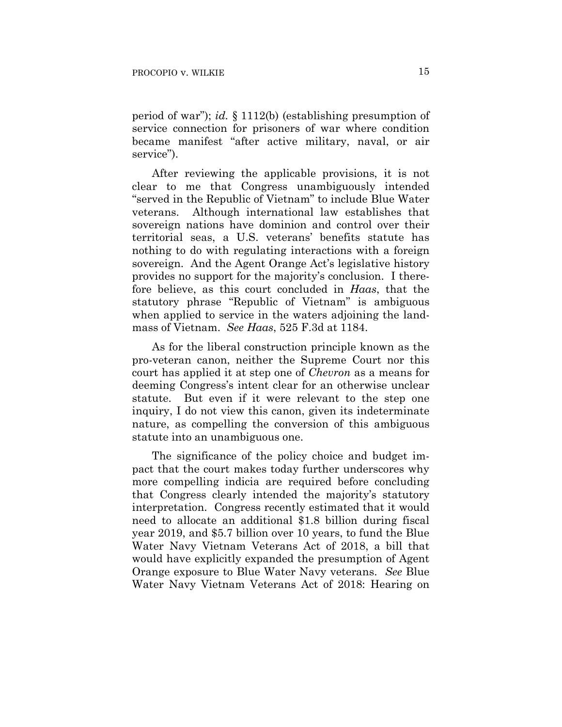period of war"); *id.* § 1112(b) (establishing presumption of service connection for prisoners of war where condition became manifest "after active military, naval, or air service").

After reviewing the applicable provisions, it is not clear to me that Congress unambiguously intended "served in the Republic of Vietnam" to include Blue Water veterans. Although international law establishes that sovereign nations have dominion and control over their territorial seas, a U.S. veterans' benefits statute has nothing to do with regulating interactions with a foreign sovereign. And the Agent Orange Act's legislative history provides no support for the majority's conclusion. I therefore believe, as this court concluded in *Haas*, that the statutory phrase "Republic of Vietnam" is ambiguous when applied to service in the waters adjoining the landmass of Vietnam. *See Haas*, 525 F.3d at 1184.

As for the liberal construction principle known as the pro-veteran canon, neither the Supreme Court nor this court has applied it at step one of *Chevron* as a means for deeming Congress's intent clear for an otherwise unclear statute. But even if it were relevant to the step one inquiry, I do not view this canon, given its indeterminate nature, as compelling the conversion of this ambiguous statute into an unambiguous one.

The significance of the policy choice and budget impact that the court makes today further underscores why more compelling indicia are required before concluding that Congress clearly intended the majority's statutory interpretation. Congress recently estimated that it would need to allocate an additional \$1.8 billion during fiscal year 2019, and \$5.7 billion over 10 years, to fund the Blue Water Navy Vietnam Veterans Act of 2018, a bill that would have explicitly expanded the presumption of Agent Orange exposure to Blue Water Navy veterans. *See* Blue Water Navy Vietnam Veterans Act of 2018: Hearing on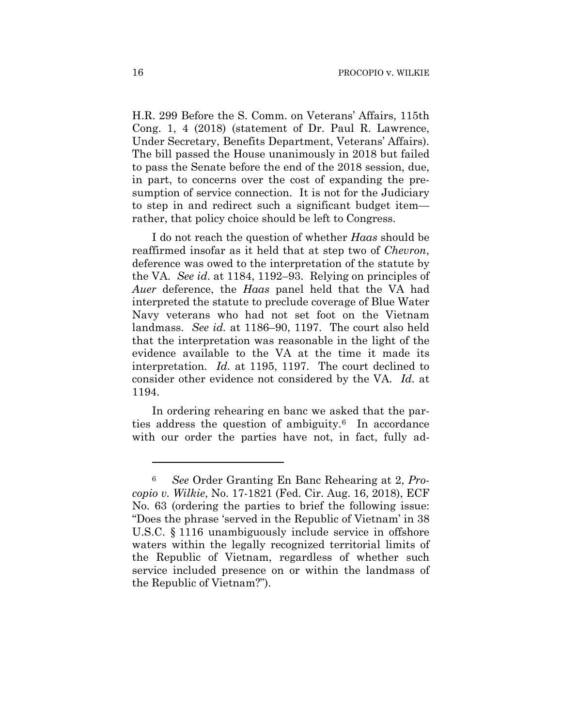H.R. 299 Before the S. Comm. on Veterans' Affairs, 115th Cong. 1, 4 (2018) (statement of Dr. Paul R. Lawrence, Under Secretary, Benefits Department, Veterans' Affairs). The bill passed the House unanimously in 2018 but failed to pass the Senate before the end of the 2018 session, due, in part, to concerns over the cost of expanding the presumption of service connection. It is not for the Judiciary to step in and redirect such a significant budget item rather, that policy choice should be left to Congress.

I do not reach the question of whether *Haas* should be reaffirmed insofar as it held that at step two of *Chevron*, deference was owed to the interpretation of the statute by the VA. *See id*. at 1184, 1192–93. Relying on principles of *Auer* deference, the *Haas* panel held that the VA had interpreted the statute to preclude coverage of Blue Water Navy veterans who had not set foot on the Vietnam landmass. *See id.* at 1186–90, 1197. The court also held that the interpretation was reasonable in the light of the evidence available to the VA at the time it made its interpretation. *Id.* at 1195, 1197. The court declined to consider other evidence not considered by the VA. *Id.* at 1194.

In ordering rehearing en banc we asked that the parties address the question of ambiguity.6 In accordance with our order the parties have not, in fact, fully ad-

<u>.</u>

<sup>6</sup> *See* Order Granting En Banc Rehearing at 2, *Procopio v. Wilkie*, No. 17-1821 (Fed. Cir. Aug. 16, 2018), ECF No. 63 (ordering the parties to brief the following issue: "Does the phrase 'served in the Republic of Vietnam' in 38 U.S.C. § 1116 unambiguously include service in offshore waters within the legally recognized territorial limits of the Republic of Vietnam, regardless of whether such service included presence on or within the landmass of the Republic of Vietnam?").